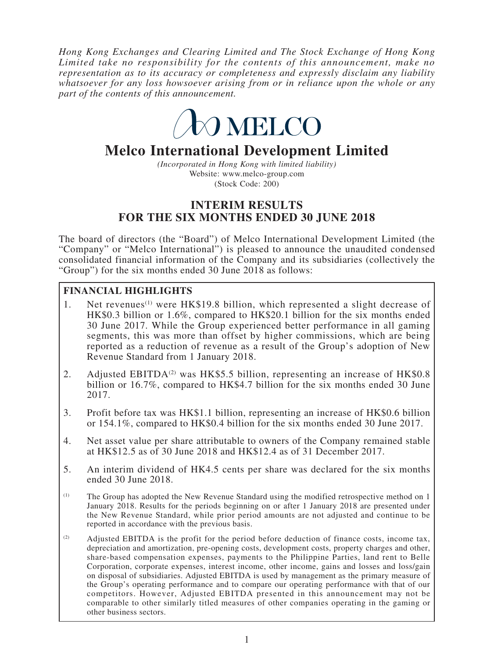*Hong Kong Exchanges and Clearing Limited and The Stock Exchange of Hong Kong Limited take no responsibility for the contents of this announcement, make no representation as to its accuracy or completeness and expressly disclaim any liability whatsoever for any loss howsoever arising from or in reliance upon the whole or any part of the contents of this announcement.*



# **Melco International Development Limited**

*(Incorporated in Hong Kong with limited liability)* Website: www.melco-group.com (Stock Code: 200)

# **INTERIM RESULTS FOR THE SIX MONTHS ENDED 30 JUNE 2018**

The board of directors (the "Board") of Melco International Development Limited (the "Company" or "Melco International") is pleased to announce the unaudited condensed consolidated financial information of the Company and its subsidiaries (collectively the "Group") for the six months ended 30 June 2018 as follows:

# **FINANCIAL HIGHLIGHTS**

- 1. Net revenues<sup>(1)</sup> were HK\$19.8 billion, which represented a slight decrease of HK\$0.3 billion or 1.6%, compared to HK\$20.1 billion for the six months ended 30 June 2017. While the Group experienced better performance in all gaming segments, this was more than offset by higher commissions, which are being reported as a reduction of revenue as a result of the Group's adoption of New Revenue Standard from 1 January 2018.
- 2. Adjusted EBITDA<sup>(2)</sup> was HK\$5.5 billion, representing an increase of HK\$0.8 billion or 16.7%, compared to HK\$4.7 billion for the six months ended 30 June 2017.
- 3. Profit before tax was HK\$1.1 billion, representing an increase of HK\$0.6 billion or 154.1%, compared to HK\$0.4 billion for the six months ended 30 June 2017.
- 4. Net asset value per share attributable to owners of the Company remained stable at HK\$12.5 as of 30 June 2018 and HK\$12.4 as of 31 December 2017.
- 5. An interim dividend of HK4.5 cents per share was declared for the six months ended 30 June 2018.
- (1) The Group has adopted the New Revenue Standard using the modified retrospective method on 1 January 2018. Results for the periods beginning on or after 1 January 2018 are presented under the New Revenue Standard, while prior period amounts are not adjusted and continue to be reported in accordance with the previous basis.
- (2) Adjusted EBITDA is the profit for the period before deduction of finance costs, income tax, depreciation and amortization, pre-opening costs, development costs, property charges and other, share-based compensation expenses, payments to the Philippine Parties, land rent to Belle Corporation, corporate expenses, interest income, other income, gains and losses and loss/gain on disposal of subsidiaries. Adjusted EBITDA is used by management as the primary measure of the Group's operating performance and to compare our operating performance with that of our competitors. However, Adjusted EBITDA presented in this announcement may not be comparable to other similarly titled measures of other companies operating in the gaming or other business sectors.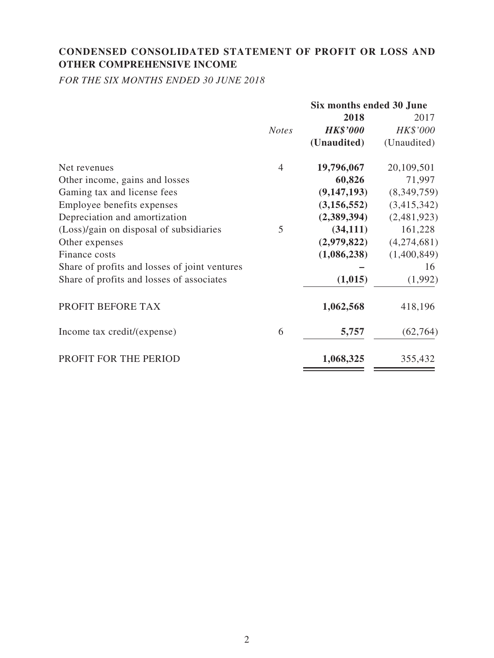# **CONDENSED CONSOLIDATED STATEMENT OF PROFIT OR LOSS AND OTHER COMPREHENSIVE INCOME**

*FOR THE SIX MONTHS ENDED 30 JUNE 2018*

|                                               |              | Six months ended 30 June |             |  |
|-----------------------------------------------|--------------|--------------------------|-------------|--|
|                                               |              | 2018                     | 2017        |  |
|                                               | <b>Notes</b> | <b>HK\$'000</b>          | HK\$'000    |  |
|                                               |              | (Unaudited)              | (Unaudited) |  |
| Net revenues                                  | 4            | 19,796,067               | 20,109,501  |  |
| Other income, gains and losses                |              | 60,826                   | 71,997      |  |
| Gaming tax and license fees                   |              | (9,147,193)              | (8,349,759) |  |
| Employee benefits expenses                    |              | (3, 156, 552)            | (3,415,342) |  |
| Depreciation and amortization                 |              | (2,389,394)              | (2,481,923) |  |
| (Loss)/gain on disposal of subsidiaries       | 5            | (34, 111)                | 161,228     |  |
| Other expenses                                |              | (2,979,822)              | (4,274,681) |  |
| Finance costs                                 |              | (1,086,238)              | (1,400,849) |  |
| Share of profits and losses of joint ventures |              |                          | 16          |  |
| Share of profits and losses of associates     |              | (1,015)                  | (1,992)     |  |
| PROFIT BEFORE TAX                             |              | 1,062,568                | 418,196     |  |
| Income tax credit/(expense)                   | 6            | 5,757                    | (62, 764)   |  |
| PROFIT FOR THE PERIOD                         |              | 1,068,325                | 355,432     |  |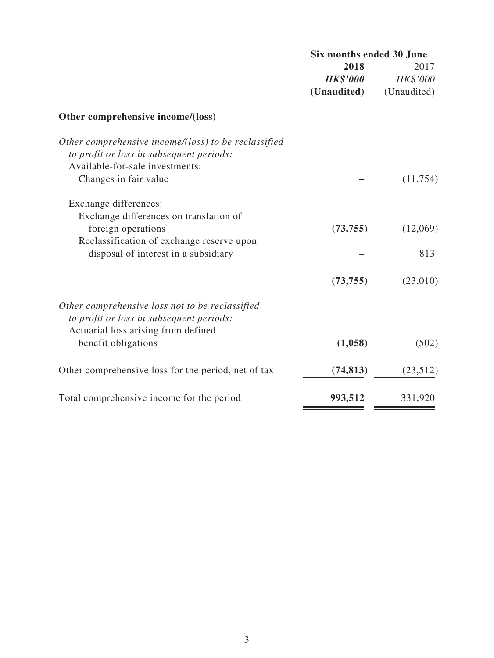| Six months ended 30 June |                 |  |
|--------------------------|-----------------|--|
| 2018                     | 2017            |  |
| <b>HK\$'000</b>          | <b>HK\$'000</b> |  |
| (Unaudited)              | (Unaudited)     |  |

# **Other comprehensive income/(loss)**

| Other comprehensive income/(loss) to be reclassified<br>to profit or loss in subsequent periods:                                   |           |          |
|------------------------------------------------------------------------------------------------------------------------------------|-----------|----------|
| Available-for-sale investments:                                                                                                    |           |          |
| Changes in fair value                                                                                                              |           | (11,754) |
| Exchange differences:                                                                                                              |           |          |
| Exchange differences on translation of                                                                                             |           |          |
| foreign operations                                                                                                                 | (73, 755) | (12,069) |
| Reclassification of exchange reserve upon                                                                                          |           |          |
| disposal of interest in a subsidiary                                                                                               |           | 813      |
|                                                                                                                                    | (73, 755) | (23,010) |
| Other comprehensive loss not to be reclassified<br>to profit or loss in subsequent periods:<br>Actuarial loss arising from defined |           |          |
| benefit obligations                                                                                                                | (1,058)   | (502)    |
| Other comprehensive loss for the period, net of tax                                                                                | (74, 813) | (23,512) |
| Total comprehensive income for the period                                                                                          | 993,512   | 331,920  |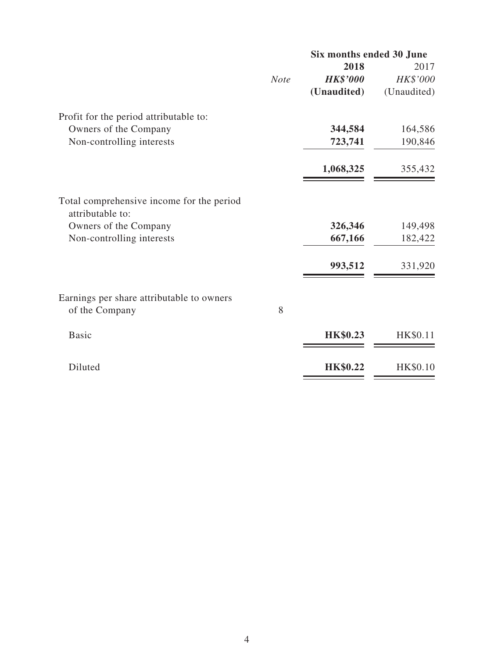|                                                               |             | Six months ended 30 June |             |
|---------------------------------------------------------------|-------------|--------------------------|-------------|
|                                                               |             | 2018                     | 2017        |
|                                                               | <b>Note</b> | <b>HK\$'000</b>          | HK\$'000    |
|                                                               |             | (Unaudited)              | (Unaudited) |
| Profit for the period attributable to:                        |             |                          |             |
| Owners of the Company                                         |             | 344,584                  | 164,586     |
| Non-controlling interests                                     |             | 723,741                  | 190,846     |
|                                                               |             | 1,068,325                | 355,432     |
| Total comprehensive income for the period<br>attributable to: |             |                          |             |
| Owners of the Company                                         |             | 326,346                  | 149,498     |
| Non-controlling interests                                     |             | 667,166                  | 182,422     |
|                                                               |             |                          |             |
|                                                               |             | 993,512                  | 331,920     |
| Earnings per share attributable to owners                     |             |                          |             |
| of the Company                                                | 8           |                          |             |
| <b>Basic</b>                                                  |             | <b>HK\$0.23</b>          | HK\$0.11    |
|                                                               |             |                          |             |
| Diluted                                                       |             | <b>HK\$0.22</b>          | HK\$0.10    |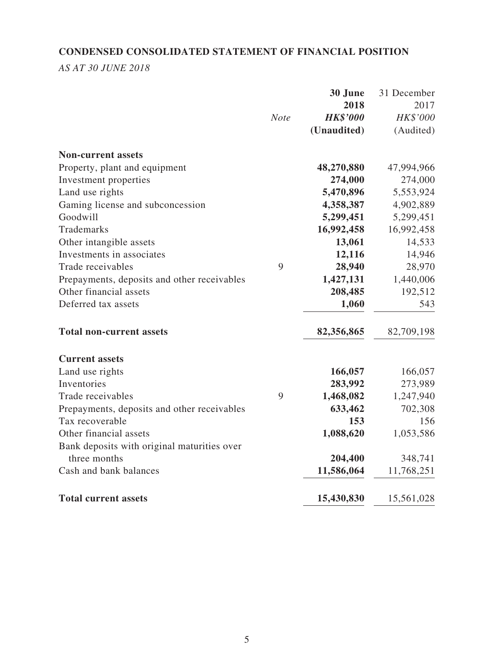# **CONDENSED CONSOLIDATED STATEMENT OF FINANCIAL POSITION**

*AS AT 30 JUNE 2018*

|                                             |             | 30 June         | 31 December |
|---------------------------------------------|-------------|-----------------|-------------|
|                                             |             | 2018            | 2017        |
|                                             | <b>Note</b> | <b>HK\$'000</b> | HK\$'000    |
|                                             |             | (Unaudited)     | (Audited)   |
| <b>Non-current assets</b>                   |             |                 |             |
| Property, plant and equipment               |             | 48,270,880      | 47,994,966  |
| Investment properties                       |             | 274,000         | 274,000     |
| Land use rights                             |             | 5,470,896       | 5,553,924   |
| Gaming license and subconcession            |             | 4,358,387       | 4,902,889   |
| Goodwill                                    |             | 5,299,451       | 5,299,451   |
| Trademarks                                  |             | 16,992,458      | 16,992,458  |
| Other intangible assets                     |             | 13,061          | 14,533      |
| Investments in associates                   |             | 12,116          | 14,946      |
| Trade receivables                           | 9           | 28,940          | 28,970      |
| Prepayments, deposits and other receivables |             | 1,427,131       | 1,440,006   |
| Other financial assets                      |             | 208,485         | 192,512     |
| Deferred tax assets                         |             | 1,060           | 543         |
| <b>Total non-current assets</b>             |             | 82,356,865      | 82,709,198  |
| <b>Current assets</b>                       |             |                 |             |
| Land use rights                             |             | 166,057         | 166,057     |
| Inventories                                 |             | 283,992         | 273,989     |
| Trade receivables                           | 9           | 1,468,082       | 1,247,940   |
| Prepayments, deposits and other receivables |             | 633,462         | 702,308     |
| Tax recoverable                             |             | 153             | 156         |
| Other financial assets                      |             | 1,088,620       | 1,053,586   |
| Bank deposits with original maturities over |             |                 |             |
| three months                                |             | 204,400         | 348,741     |
| Cash and bank balances                      |             | 11,586,064      | 11,768,251  |
| <b>Total current assets</b>                 |             | 15,430,830      | 15,561,028  |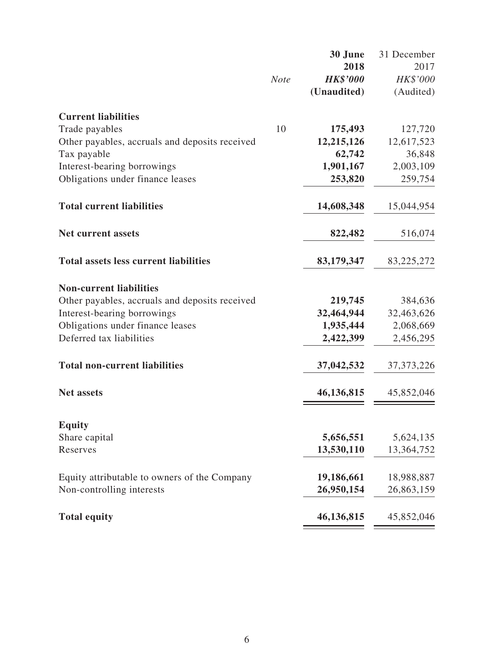|                                                |             | 30 June         | 31 December  |
|------------------------------------------------|-------------|-----------------|--------------|
|                                                |             | 2018            | 2017         |
|                                                | <b>Note</b> | <b>HK\$'000</b> | HK\$'000     |
|                                                |             | (Unaudited)     | (Audited)    |
| <b>Current liabilities</b>                     |             |                 |              |
| Trade payables                                 | 10          | 175,493         | 127,720      |
| Other payables, accruals and deposits received |             | 12,215,126      | 12,617,523   |
| Tax payable                                    |             | 62,742          | 36,848       |
| Interest-bearing borrowings                    |             | 1,901,167       | 2,003,109    |
| Obligations under finance leases               |             | 253,820         | 259,754      |
| <b>Total current liabilities</b>               |             | 14,608,348      | 15,044,954   |
| Net current assets                             |             | 822,482         | 516,074      |
| <b>Total assets less current liabilities</b>   |             | 83,179,347      | 83,225,272   |
| <b>Non-current liabilities</b>                 |             |                 |              |
| Other payables, accruals and deposits received |             | 219,745         | 384,636      |
| Interest-bearing borrowings                    |             | 32,464,944      | 32,463,626   |
| Obligations under finance leases               |             | 1,935,444       | 2,068,669    |
| Deferred tax liabilities                       |             | 2,422,399       | 2,456,295    |
| <b>Total non-current liabilities</b>           |             | 37,042,532      | 37, 373, 226 |
| <b>Net assets</b>                              |             | 46,136,815      | 45,852,046   |
|                                                |             |                 |              |
| <b>Equity</b><br>Share capital                 |             | 5,656,551       | 5,624,135    |
| Reserves                                       |             | 13,530,110      | 13,364,752   |
|                                                |             |                 |              |
| Equity attributable to owners of the Company   |             | 19,186,661      | 18,988,887   |
| Non-controlling interests                      |             | 26,950,154      | 26,863,159   |
| <b>Total equity</b>                            |             | 46,136,815      | 45,852,046   |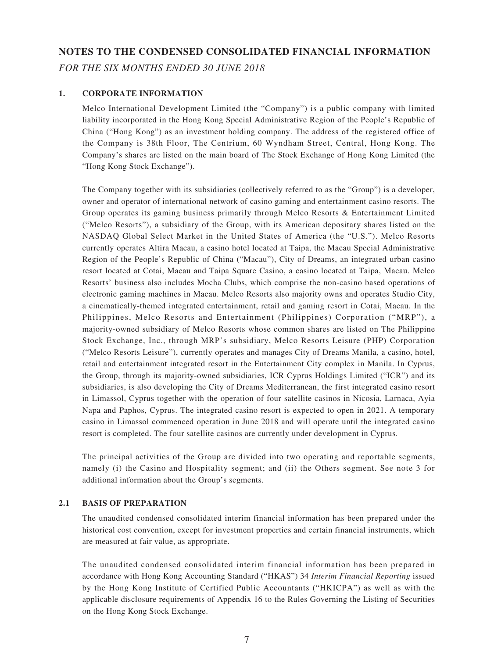# **NOTES TO THE CONDENSED CONSOLIDATED FINANCIAL INFORMATION** *FOR THE SIX MONTHS ENDED 30 JUNE 2018*

#### **1. CORPORATE INFORMATION**

Melco International Development Limited (the "Company") is a public company with limited liability incorporated in the Hong Kong Special Administrative Region of the People's Republic of China ("Hong Kong") as an investment holding company. The address of the registered office of the Company is 38th Floor, The Centrium, 60 Wyndham Street, Central, Hong Kong. The Company's shares are listed on the main board of The Stock Exchange of Hong Kong Limited (the "Hong Kong Stock Exchange").

The Company together with its subsidiaries (collectively referred to as the "Group") is a developer, owner and operator of international network of casino gaming and entertainment casino resorts. The Group operates its gaming business primarily through Melco Resorts & Entertainment Limited ("Melco Resorts"), a subsidiary of the Group, with its American depositary shares listed on the NASDAQ Global Select Market in the United States of America (the "U.S."). Melco Resorts currently operates Altira Macau, a casino hotel located at Taipa, the Macau Special Administrative Region of the People's Republic of China ("Macau"), City of Dreams, an integrated urban casino resort located at Cotai, Macau and Taipa Square Casino, a casino located at Taipa, Macau. Melco Resorts' business also includes Mocha Clubs, which comprise the non-casino based operations of electronic gaming machines in Macau. Melco Resorts also majority owns and operates Studio City, a cinematically-themed integrated entertainment, retail and gaming resort in Cotai, Macau. In the Philippines, Melco Resorts and Entertainment (Philippines) Corporation ("MRP"), a majority-owned subsidiary of Melco Resorts whose common shares are listed on The Philippine Stock Exchange, Inc., through MRP's subsidiary, Melco Resorts Leisure (PHP) Corporation ("Melco Resorts Leisure"), currently operates and manages City of Dreams Manila, a casino, hotel, retail and entertainment integrated resort in the Entertainment City complex in Manila. In Cyprus, the Group, through its majority-owned subsidiaries, ICR Cyprus Holdings Limited ("ICR") and its subsidiaries, is also developing the City of Dreams Mediterranean, the first integrated casino resort in Limassol, Cyprus together with the operation of four satellite casinos in Nicosia, Larnaca, Ayia Napa and Paphos, Cyprus. The integrated casino resort is expected to open in 2021. A temporary casino in Limassol commenced operation in June 2018 and will operate until the integrated casino resort is completed. The four satellite casinos are currently under development in Cyprus.

The principal activities of the Group are divided into two operating and reportable segments, namely (i) the Casino and Hospitality segment; and (ii) the Others segment. See note 3 for additional information about the Group's segments.

#### **2.1 BASIS OF PREPARATION**

The unaudited condensed consolidated interim financial information has been prepared under the historical cost convention, except for investment properties and certain financial instruments, which are measured at fair value, as appropriate.

The unaudited condensed consolidated interim financial information has been prepared in accordance with Hong Kong Accounting Standard ("HKAS") 34 *Interim Financial Reporting* issued by the Hong Kong Institute of Certified Public Accountants ("HKICPA") as well as with the applicable disclosure requirements of Appendix 16 to the Rules Governing the Listing of Securities on the Hong Kong Stock Exchange.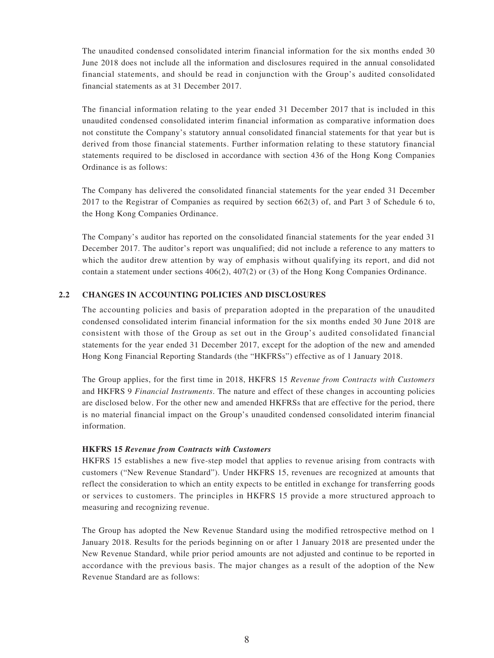The unaudited condensed consolidated interim financial information for the six months ended 30 June 2018 does not include all the information and disclosures required in the annual consolidated financial statements, and should be read in conjunction with the Group's audited consolidated financial statements as at 31 December 2017.

The financial information relating to the year ended 31 December 2017 that is included in this unaudited condensed consolidated interim financial information as comparative information does not constitute the Company's statutory annual consolidated financial statements for that year but is derived from those financial statements. Further information relating to these statutory financial statements required to be disclosed in accordance with section 436 of the Hong Kong Companies Ordinance is as follows:

The Company has delivered the consolidated financial statements for the year ended 31 December 2017 to the Registrar of Companies as required by section 662(3) of, and Part 3 of Schedule 6 to, the Hong Kong Companies Ordinance.

The Company's auditor has reported on the consolidated financial statements for the year ended 31 December 2017. The auditor's report was unqualified; did not include a reference to any matters to which the auditor drew attention by way of emphasis without qualifying its report, and did not contain a statement under sections 406(2), 407(2) or (3) of the Hong Kong Companies Ordinance.

#### **2.2 CHANGES IN ACCOUNTING POLICIES AND DISCLOSURES**

The accounting policies and basis of preparation adopted in the preparation of the unaudited condensed consolidated interim financial information for the six months ended 30 June 2018 are consistent with those of the Group as set out in the Group's audited consolidated financial statements for the year ended 31 December 2017, except for the adoption of the new and amended Hong Kong Financial Reporting Standards (the "HKFRSs") effective as of 1 January 2018.

The Group applies, for the first time in 2018, HKFRS 15 *Revenue from Contracts with Customers* and HKFRS 9 *Financial Instruments*. The nature and effect of these changes in accounting policies are disclosed below. For the other new and amended HKFRSs that are effective for the period, there is no material financial impact on the Group's unaudited condensed consolidated interim financial information.

#### **HKFRS 15** *Revenue from Contracts with Customers*

HKFRS 15 establishes a new five-step model that applies to revenue arising from contracts with customers ("New Revenue Standard"). Under HKFRS 15, revenues are recognized at amounts that reflect the consideration to which an entity expects to be entitled in exchange for transferring goods or services to customers. The principles in HKFRS 15 provide a more structured approach to measuring and recognizing revenue.

The Group has adopted the New Revenue Standard using the modified retrospective method on 1 January 2018. Results for the periods beginning on or after 1 January 2018 are presented under the New Revenue Standard, while prior period amounts are not adjusted and continue to be reported in accordance with the previous basis. The major changes as a result of the adoption of the New Revenue Standard are as follows: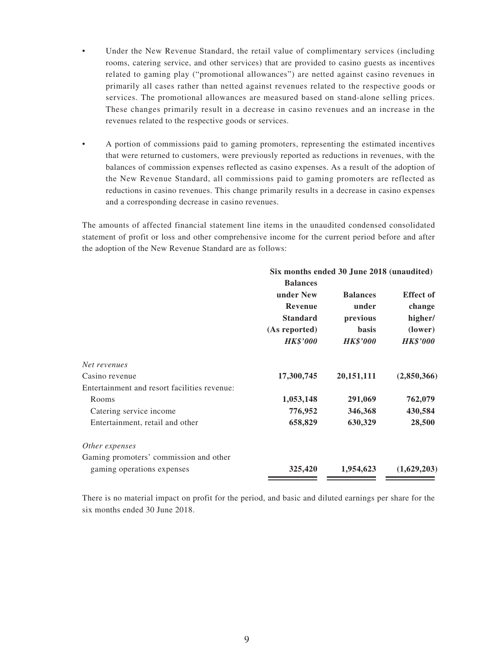- Under the New Revenue Standard, the retail value of complimentary services (including rooms, catering service, and other services) that are provided to casino guests as incentives related to gaming play ("promotional allowances") are netted against casino revenues in primarily all cases rather than netted against revenues related to the respective goods or services. The promotional allowances are measured based on stand-alone selling prices. These changes primarily result in a decrease in casino revenues and an increase in the revenues related to the respective goods or services.
- A portion of commissions paid to gaming promoters, representing the estimated incentives that were returned to customers, were previously reported as reductions in revenues, with the balances of commission expenses reflected as casino expenses. As a result of the adoption of the New Revenue Standard, all commissions paid to gaming promoters are reflected as reductions in casino revenues. This change primarily results in a decrease in casino expenses and a corresponding decrease in casino revenues.

The amounts of affected financial statement line items in the unaudited condensed consolidated statement of profit or loss and other comprehensive income for the current period before and after the adoption of the New Revenue Standard are as follows:

|                                              | Six months ended 30 June 2018 (unaudited) |                 |                  |
|----------------------------------------------|-------------------------------------------|-----------------|------------------|
|                                              | <b>Balances</b>                           |                 |                  |
|                                              | under New                                 | <b>Balances</b> | <b>Effect of</b> |
|                                              | Revenue                                   | under           | change           |
|                                              | <b>Standard</b>                           | previous        | higher/          |
|                                              | (As reported)                             | <b>basis</b>    | (lower)          |
|                                              | <b>HK\$'000</b>                           | <b>HK\$'000</b> | <b>HK\$'000</b>  |
| Net revenues                                 |                                           |                 |                  |
| Casino revenue                               | 17,300,745                                | 20, 151, 111    | (2,850,366)      |
| Entertainment and resort facilities revenue: |                                           |                 |                  |
| Rooms                                        | 1,053,148                                 | 291,069         | 762,079          |
| Catering service income                      | 776,952                                   | 346,368         | 430,584          |
| Entertainment, retail and other              | 658,829                                   | 630,329         | 28,500           |
| Other expenses                               |                                           |                 |                  |
| Gaming promoters' commission and other       |                                           |                 |                  |
| gaming operations expenses                   | 325,420                                   | 1,954,623       | (1,629,203)      |

There is no material impact on profit for the period, and basic and diluted earnings per share for the six months ended 30 June 2018.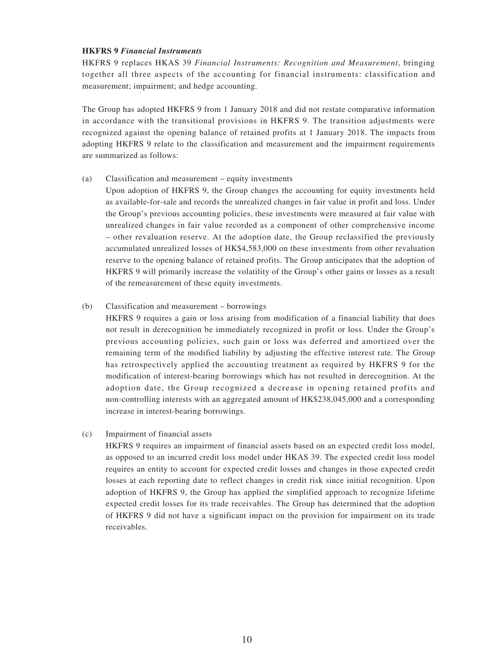#### **HKFRS 9** *Financial Instruments*

HKFRS 9 replaces HKAS 39 *Financial Instruments: Recognition and Measurement*, bringing together all three aspects of the accounting for financial instruments: classification and measurement; impairment; and hedge accounting.

The Group has adopted HKFRS 9 from 1 January 2018 and did not restate comparative information in accordance with the transitional provisions in HKFRS 9. The transition adjustments were recognized against the opening balance of retained profits at 1 January 2018. The impacts from adopting HKFRS 9 relate to the classification and measurement and the impairment requirements are summarized as follows:

#### (a) Classification and measurement – equity investments

Upon adoption of HKFRS 9, the Group changes the accounting for equity investments held as available-for-sale and records the unrealized changes in fair value in profit and loss. Under the Group's previous accounting policies, these investments were measured at fair value with unrealized changes in fair value recorded as a component of other comprehensive income – other revaluation reserve. At the adoption date, the Group reclassified the previously accumulated unrealized losses of HK\$4,583,000 on these investments from other revaluation reserve to the opening balance of retained profits. The Group anticipates that the adoption of HKFRS 9 will primarily increase the volatility of the Group's other gains or losses as a result of the remeasurement of these equity investments.

#### (b) Classification and measurement – borrowings

HKFRS 9 requires a gain or loss arising from modification of a financial liability that does not result in derecognition be immediately recognized in profit or loss. Under the Group's previous accounting policies, such gain or loss was deferred and amortized over the remaining term of the modified liability by adjusting the effective interest rate. The Group has retrospectively applied the accounting treatment as required by HKFRS 9 for the modification of interest-bearing borrowings which has not resulted in derecognition. At the adoption date, the Group recognized a decrease in opening retained profits and non-controlling interests with an aggregated amount of HK\$238,045,000 and a corresponding increase in interest-bearing borrowings.

#### (c) Impairment of financial assets

HKFRS 9 requires an impairment of financial assets based on an expected credit loss model, as opposed to an incurred credit loss model under HKAS 39. The expected credit loss model requires an entity to account for expected credit losses and changes in those expected credit losses at each reporting date to reflect changes in credit risk since initial recognition. Upon adoption of HKFRS 9, the Group has applied the simplified approach to recognize lifetime expected credit losses for its trade receivables. The Group has determined that the adoption of HKFRS 9 did not have a significant impact on the provision for impairment on its trade receivables.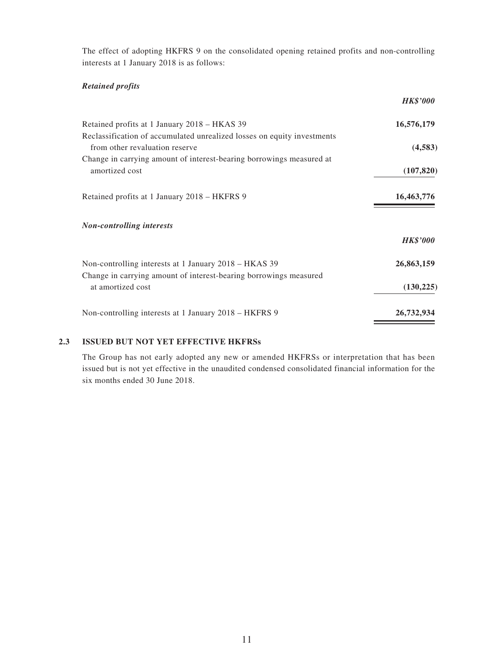The effect of adopting HKFRS 9 on the consolidated opening retained profits and non-controlling interests at 1 January 2018 is as follows:

#### *Retained profits*

| <b>HK\$'000</b> |
|-----------------|
| 16,576,179      |
| (4,583)         |
| (107, 820)      |
| 16,463,776      |
|                 |
| <b>HK\$'000</b> |
| 26,863,159      |
| (130, 225)      |
| 26,732,934      |
|                 |

### **2.3 ISSUED BUT NOT YET EFFECTIVE HKFRSs**

The Group has not early adopted any new or amended HKFRSs or interpretation that has been issued but is not yet effective in the unaudited condensed consolidated financial information for the six months ended 30 June 2018.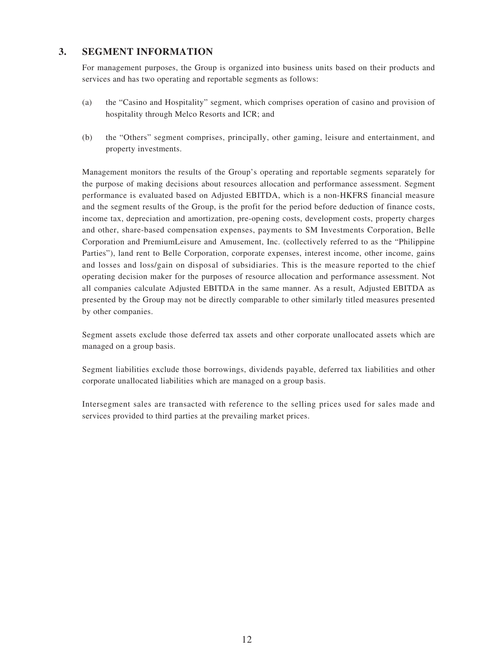### **3. SEGMENT INFORMATION**

For management purposes, the Group is organized into business units based on their products and services and has two operating and reportable segments as follows:

- (a) the "Casino and Hospitality" segment, which comprises operation of casino and provision of hospitality through Melco Resorts and ICR; and
- (b) the "Others" segment comprises, principally, other gaming, leisure and entertainment, and property investments.

Management monitors the results of the Group's operating and reportable segments separately for the purpose of making decisions about resources allocation and performance assessment. Segment performance is evaluated based on Adjusted EBITDA, which is a non-HKFRS financial measure and the segment results of the Group, is the profit for the period before deduction of finance costs, income tax, depreciation and amortization, pre-opening costs, development costs, property charges and other, share-based compensation expenses, payments to SM Investments Corporation, Belle Corporation and PremiumLeisure and Amusement, Inc. (collectively referred to as the "Philippine Parties"), land rent to Belle Corporation, corporate expenses, interest income, other income, gains and losses and loss/gain on disposal of subsidiaries. This is the measure reported to the chief operating decision maker for the purposes of resource allocation and performance assessment. Not all companies calculate Adjusted EBITDA in the same manner. As a result, Adjusted EBITDA as presented by the Group may not be directly comparable to other similarly titled measures presented by other companies.

Segment assets exclude those deferred tax assets and other corporate unallocated assets which are managed on a group basis.

Segment liabilities exclude those borrowings, dividends payable, deferred tax liabilities and other corporate unallocated liabilities which are managed on a group basis.

Intersegment sales are transacted with reference to the selling prices used for sales made and services provided to third parties at the prevailing market prices.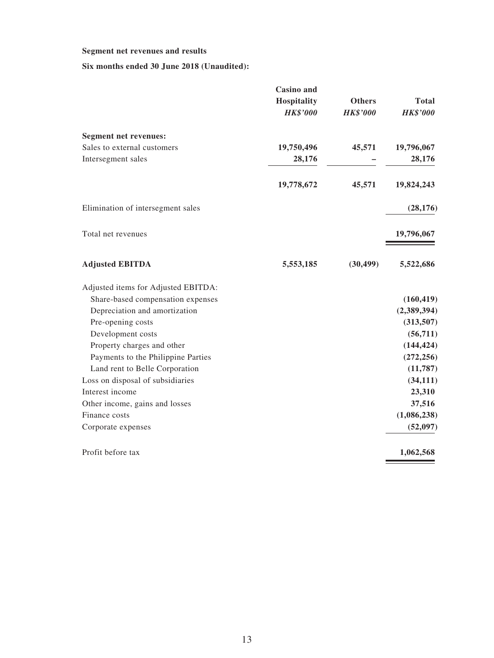#### **Segment net revenues and results**

**Six months ended 30 June 2018 (Unaudited):**

|                                     | <b>Casino</b> and<br><b>Hospitality</b><br><b>HK\$'000</b> | <b>Others</b><br><b>HK\$'000</b> | <b>Total</b><br><b>HK\$'000</b> |
|-------------------------------------|------------------------------------------------------------|----------------------------------|---------------------------------|
| <b>Segment net revenues:</b>        |                                                            |                                  |                                 |
| Sales to external customers         | 19,750,496                                                 | 45,571                           | 19,796,067                      |
| Intersegment sales                  | 28,176                                                     |                                  | 28,176                          |
|                                     | 19,778,672                                                 | 45,571                           | 19,824,243                      |
| Elimination of intersegment sales   |                                                            |                                  | (28, 176)                       |
| Total net revenues                  |                                                            |                                  | 19,796,067                      |
| <b>Adjusted EBITDA</b>              | 5,553,185                                                  | (30, 499)                        | 5,522,686                       |
| Adjusted items for Adjusted EBITDA: |                                                            |                                  |                                 |
| Share-based compensation expenses   |                                                            |                                  | (160, 419)                      |
| Depreciation and amortization       |                                                            |                                  | (2,389,394)                     |
| Pre-opening costs                   |                                                            |                                  | (313,507)                       |
| Development costs                   |                                                            |                                  | (56, 711)                       |
| Property charges and other          |                                                            |                                  | (144, 424)                      |
| Payments to the Philippine Parties  |                                                            |                                  | (272, 256)                      |
| Land rent to Belle Corporation      |                                                            |                                  | (11, 787)                       |
| Loss on disposal of subsidiaries    |                                                            |                                  | (34, 111)                       |
| Interest income                     |                                                            |                                  | 23,310                          |
| Other income, gains and losses      |                                                            |                                  | 37,516                          |
| Finance costs                       |                                                            |                                  | (1,086,238)                     |
| Corporate expenses                  |                                                            |                                  | (52, 097)                       |
| Profit before tax                   |                                                            |                                  | 1,062,568                       |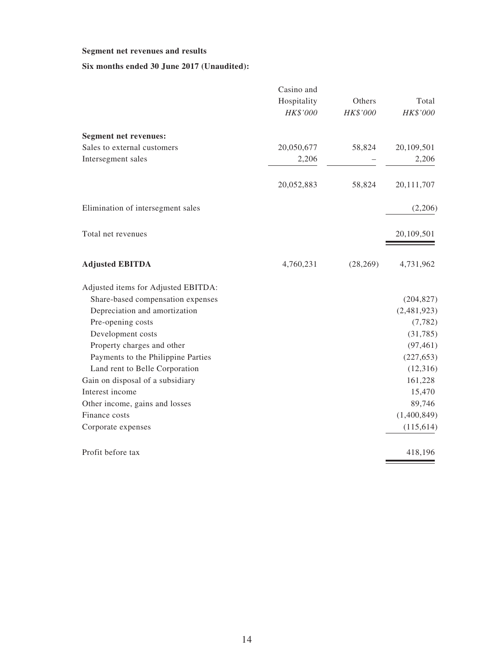#### **Segment net revenues and results**

### **Six months ended 30 June 2017 (Unaudited):**

|                                     | Casino and  |           |             |
|-------------------------------------|-------------|-----------|-------------|
|                                     | Hospitality | Others    | Total       |
|                                     | HK\$'000    | HK\$'000  | HK\$'000    |
| <b>Segment net revenues:</b>        |             |           |             |
| Sales to external customers         | 20,050,677  | 58,824    | 20,109,501  |
| Intersegment sales                  | 2,206       |           | 2,206       |
|                                     | 20,052,883  | 58,824    | 20,111,707  |
| Elimination of intersegment sales   |             |           | (2,206)     |
| Total net revenues                  |             |           | 20,109,501  |
| <b>Adjusted EBITDA</b>              | 4,760,231   | (28, 269) | 4,731,962   |
| Adjusted items for Adjusted EBITDA: |             |           |             |
| Share-based compensation expenses   |             |           | (204, 827)  |
| Depreciation and amortization       |             |           | (2,481,923) |
| Pre-opening costs                   |             |           | (7, 782)    |
| Development costs                   |             |           | (31, 785)   |
| Property charges and other          |             |           | (97, 461)   |
| Payments to the Philippine Parties  |             |           | (227, 653)  |
| Land rent to Belle Corporation      |             |           | (12, 316)   |
| Gain on disposal of a subsidiary    |             |           | 161,228     |
| Interest income                     |             |           | 15,470      |
| Other income, gains and losses      |             |           | 89,746      |
| Finance costs                       |             |           | (1,400,849) |
| Corporate expenses                  |             |           | (115, 614)  |
| Profit before tax                   |             |           | 418,196     |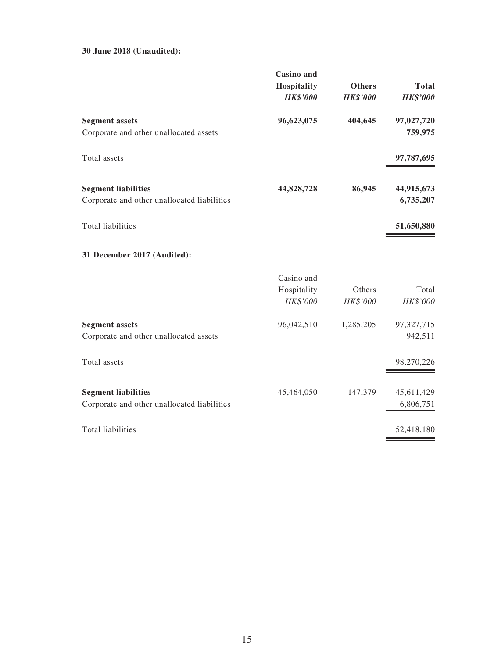#### **30 June 2018 (Unaudited):**

|                                             | <b>Casino</b> and<br><b>Hospitality</b><br><b>HK\$'000</b> | <b>Others</b><br><b>HK\$'000</b> | <b>Total</b><br><b>HK\$'000</b> |
|---------------------------------------------|------------------------------------------------------------|----------------------------------|---------------------------------|
| <b>Segment assets</b>                       | 96,623,075                                                 | 404,645                          | 97,027,720                      |
| Corporate and other unallocated assets      |                                                            |                                  | 759,975                         |
| Total assets                                |                                                            |                                  | 97,787,695                      |
| <b>Segment liabilities</b>                  | 44,828,728                                                 | 86,945                           | 44,915,673                      |
| Corporate and other unallocated liabilities |                                                            |                                  | 6,735,207                       |
| <b>Total liabilities</b>                    |                                                            |                                  | 51,650,880                      |
| 31 December 2017 (Audited):                 |                                                            |                                  |                                 |
|                                             | Casino and                                                 |                                  |                                 |
|                                             | Hospitality                                                | Others                           | Total                           |
|                                             | HK\$'000                                                   | HK\$'000                         | HK\$'000                        |
| <b>Segment assets</b>                       | 96,042,510                                                 | 1,285,205                        | 97,327,715                      |
| Corporate and other unallocated assets      |                                                            |                                  | 942,511                         |
| Total assets                                |                                                            |                                  | 98,270,226                      |
| <b>Segment liabilities</b>                  | 45,464,050                                                 | 147,379                          | 45,611,429                      |
| Corporate and other unallocated liabilities |                                                            |                                  | 6,806,751                       |
| <b>Total liabilities</b>                    |                                                            |                                  | 52,418,180                      |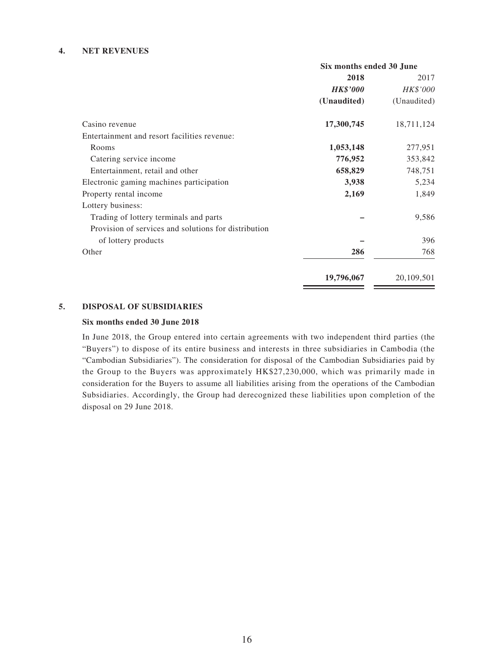#### **4. NET REVENUES**

|                                                      | Six months ended 30 June |             |  |
|------------------------------------------------------|--------------------------|-------------|--|
|                                                      | 2018                     | 2017        |  |
|                                                      | <b>HK\$'000</b>          | HK\$'000    |  |
|                                                      | (Unaudited)              | (Unaudited) |  |
| Casino revenue                                       | 17,300,745               | 18,711,124  |  |
| Entertainment and resort facilities revenue:         |                          |             |  |
| Rooms                                                | 1,053,148                | 277,951     |  |
| Catering service income                              | 776,952                  | 353,842     |  |
| Entertainment, retail and other                      | 658,829                  | 748,751     |  |
| Electronic gaming machines participation             | 3,938                    | 5,234       |  |
| Property rental income                               | 2,169                    | 1,849       |  |
| Lottery business:                                    |                          |             |  |
| Trading of lottery terminals and parts               |                          | 9,586       |  |
| Provision of services and solutions for distribution |                          |             |  |
| of lottery products                                  |                          | 396         |  |
| Other                                                | 286                      | 768         |  |
|                                                      | 19,796,067               | 20,109,501  |  |

#### **5. DISPOSAL OF SUBSIDIARIES**

#### **Six months ended 30 June 2018**

In June 2018, the Group entered into certain agreements with two independent third parties (the "Buyers") to dispose of its entire business and interests in three subsidiaries in Cambodia (the "Cambodian Subsidiaries"). The consideration for disposal of the Cambodian Subsidiaries paid by the Group to the Buyers was approximately HK\$27,230,000, which was primarily made in consideration for the Buyers to assume all liabilities arising from the operations of the Cambodian Subsidiaries. Accordingly, the Group had derecognized these liabilities upon completion of the disposal on 29 June 2018.

 $\overline{\phantom{a}}$ 

<u> The Communication of the Communication</u>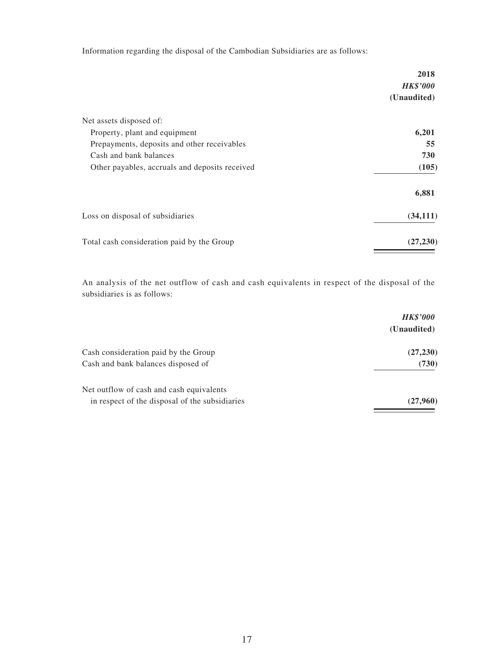Information regarding the disposal of the Cambodian Subsidiaries are as follows:

|                                                | 2018<br><b>HK\$'000</b> |
|------------------------------------------------|-------------------------|
|                                                | (Unaudited)             |
| Net assets disposed of:                        |                         |
| Property, plant and equipment                  | 6,201                   |
| Prepayments, deposits and other receivables    | 55                      |
| Cash and bank balances                         | 730                     |
| Other payables, accruals and deposits received | (105)                   |
|                                                | 6,881                   |
| Loss on disposal of subsidiaries               | (34, 111)               |
| Total cash consideration paid by the Group     | (27, 230)               |

An analysis of the net outflow of cash and cash equivalents in respect of the disposal of the subsidiaries is as follows:

|                                                | <b>HK\$'000</b> |
|------------------------------------------------|-----------------|
|                                                | (Unaudited)     |
| Cash consideration paid by the Group           | (27, 230)       |
| Cash and bank balances disposed of             | (730)           |
| Net outflow of cash and cash equivalents       |                 |
| in respect of the disposal of the subsidiaries | (27,960)        |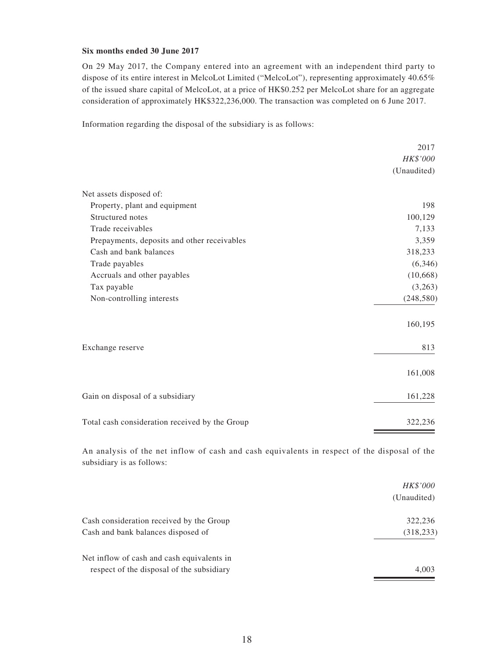#### **Six months ended 30 June 2017**

On 29 May 2017, the Company entered into an agreement with an independent third party to dispose of its entire interest in MelcoLot Limited ("MelcoLot"), representing approximately 40.65% of the issued share capital of MelcoLot, at a price of HK\$0.252 per MelcoLot share for an aggregate consideration of approximately HK\$322,236,000. The transaction was completed on 6 June 2017.

Information regarding the disposal of the subsidiary is as follows:

|                                                | 2017        |
|------------------------------------------------|-------------|
|                                                | HK\$'000    |
|                                                | (Unaudited) |
| Net assets disposed of:                        |             |
| Property, plant and equipment                  | 198         |
| Structured notes                               | 100,129     |
| Trade receivables                              | 7,133       |
| Prepayments, deposits and other receivables    | 3,359       |
| Cash and bank balances                         | 318,233     |
| Trade payables                                 | (6,346)     |
| Accruals and other payables                    | (10, 668)   |
| Tax payable                                    | (3,263)     |
| Non-controlling interests                      | (248, 580)  |
|                                                | 160,195     |
| Exchange reserve                               | 813         |
|                                                | 161,008     |
| Gain on disposal of a subsidiary               | 161,228     |
| Total cash consideration received by the Group | 322,236     |

An analysis of the net inflow of cash and cash equivalents in respect of the disposal of the subsidiary is as follows:

|                                            | <i>HK\$'000</i> |
|--------------------------------------------|-----------------|
|                                            | (Unaudited)     |
| Cash consideration received by the Group   | 322,236         |
| Cash and bank balances disposed of         | (318, 233)      |
| Net inflow of cash and cash equivalents in |                 |
| respect of the disposal of the subsidiary  | 4,003           |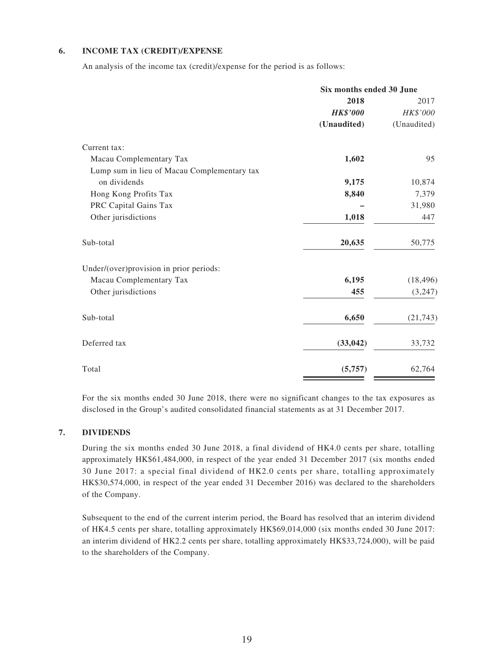#### **6. INCOME TAX (CREDIT)/EXPENSE**

An analysis of the income tax (credit)/expense for the period is as follows:

|                                             | Six months ended 30 June |             |  |
|---------------------------------------------|--------------------------|-------------|--|
|                                             | 2018                     | 2017        |  |
|                                             | <b>HK\$'000</b>          | HK\$'000    |  |
|                                             | (Unaudited)              | (Unaudited) |  |
| Current tax:                                |                          |             |  |
| Macau Complementary Tax                     | 1,602                    | 95          |  |
| Lump sum in lieu of Macau Complementary tax |                          |             |  |
| on dividends                                | 9,175                    | 10,874      |  |
| Hong Kong Profits Tax                       | 8,840                    | 7,379       |  |
| PRC Capital Gains Tax                       |                          | 31,980      |  |
| Other jurisdictions                         | 1,018                    | 447         |  |
| Sub-total                                   | 20,635                   | 50,775      |  |
| Under/(over)provision in prior periods:     |                          |             |  |
| Macau Complementary Tax                     | 6,195                    | (18, 496)   |  |
| Other jurisdictions                         | 455                      | (3,247)     |  |
| Sub-total                                   | 6,650                    | (21, 743)   |  |
| Deferred tax                                | (33, 042)                | 33,732      |  |
| Total                                       | (5,757)                  | 62,764      |  |

For the six months ended 30 June 2018, there were no significant changes to the tax exposures as disclosed in the Group's audited consolidated financial statements as at 31 December 2017.

#### **7. DIVIDENDS**

During the six months ended 30 June 2018, a final dividend of HK4.0 cents per share, totalling approximately HK\$61,484,000, in respect of the year ended 31 December 2017 (six months ended 30 June 2017: a special final dividend of HK2.0 cents per share, totalling approximately HK\$30,574,000, in respect of the year ended 31 December 2016) was declared to the shareholders of the Company.

Subsequent to the end of the current interim period, the Board has resolved that an interim dividend of HK4.5 cents per share, totalling approximately HK\$69,014,000 (six months ended 30 June 2017: an interim dividend of HK2.2 cents per share, totalling approximately HK\$33,724,000), will be paid to the shareholders of the Company.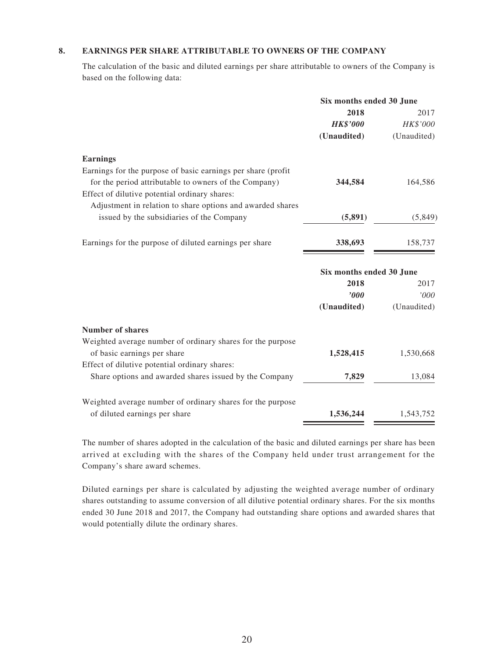#### **8. EARNINGS PER SHARE ATTRIBUTABLE TO OWNERS OF THE COMPANY**

The calculation of the basic and diluted earnings per share attributable to owners of the Company is based on the following data:

|                                                               | Six months ended 30 June |             |
|---------------------------------------------------------------|--------------------------|-------------|
|                                                               | 2018                     | 2017        |
|                                                               | <b>HK\$'000</b>          | HK\$'000    |
|                                                               | (Unaudited)              | (Unaudited) |
| <b>Earnings</b>                                               |                          |             |
| Earnings for the purpose of basic earnings per share (profit) |                          |             |
| for the period attributable to owners of the Company)         | 344,584                  | 164,586     |
| Effect of dilutive potential ordinary shares:                 |                          |             |
| Adjustment in relation to share options and awarded shares    |                          |             |
| issued by the subsidiaries of the Company                     | (5,891)                  | (5,849)     |
| Earnings for the purpose of diluted earnings per share        | 338,693                  | 158,737     |
|                                                               | Six months ended 30 June |             |
|                                                               | 2018                     | 2017        |
|                                                               | '000                     | '000        |
|                                                               | (Unaudited)              | (Unaudited) |
| <b>Number of shares</b>                                       |                          |             |
| Weighted average number of ordinary shares for the purpose    |                          |             |
| of basic earnings per share                                   | 1,528,415                | 1,530,668   |
| Effect of dilutive potential ordinary shares:                 |                          |             |
| Share options and awarded shares issued by the Company        | 7,829                    | 13,084      |
| Weighted average number of ordinary shares for the purpose    |                          |             |
| of diluted earnings per share                                 | 1,536,244                | 1,543,752   |

The number of shares adopted in the calculation of the basic and diluted earnings per share has been arrived at excluding with the shares of the Company held under trust arrangement for the Company's share award schemes.

Diluted earnings per share is calculated by adjusting the weighted average number of ordinary shares outstanding to assume conversion of all dilutive potential ordinary shares. For the six months ended 30 June 2018 and 2017, the Company had outstanding share options and awarded shares that would potentially dilute the ordinary shares.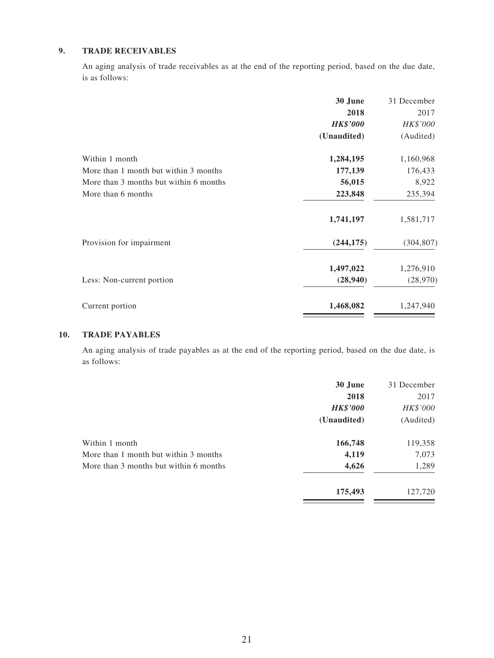#### **9. TRADE RECEIVABLES**

An aging analysis of trade receivables as at the end of the reporting period, based on the due date, is as follows:

|                                        | 30 June         | 31 December |
|----------------------------------------|-----------------|-------------|
|                                        | 2018            | 2017        |
|                                        | <b>HK\$'000</b> | HK\$'000    |
|                                        | (Unaudited)     | (Audited)   |
| Within 1 month                         | 1,284,195       | 1,160,968   |
| More than 1 month but within 3 months  | 177,139         | 176,433     |
| More than 3 months but within 6 months | 56,015          | 8,922       |
| More than 6 months                     | 223,848         | 235,394     |
|                                        | 1,741,197       | 1,581,717   |
| Provision for impairment               | (244, 175)      | (304, 807)  |
|                                        | 1,497,022       | 1,276,910   |
| Less: Non-current portion              | (28,940)        | (28,970)    |
| Current portion                        | 1,468,082       | 1,247,940   |
|                                        |                 |             |

#### **10. TRADE PAYABLES**

An aging analysis of trade payables as at the end of the reporting period, based on the due date, is as follows:

|                                        | 30 June         | 31 December |
|----------------------------------------|-----------------|-------------|
|                                        | 2018            | 2017        |
|                                        | <b>HK\$'000</b> | HK\$'000    |
|                                        | (Unaudited)     | (Audited)   |
| Within 1 month                         | 166,748         | 119,358     |
| More than 1 month but within 3 months  | 4,119           | 7,073       |
| More than 3 months but within 6 months | 4,626           | 1,289       |
|                                        | 175,493         | 127,720     |
|                                        |                 |             |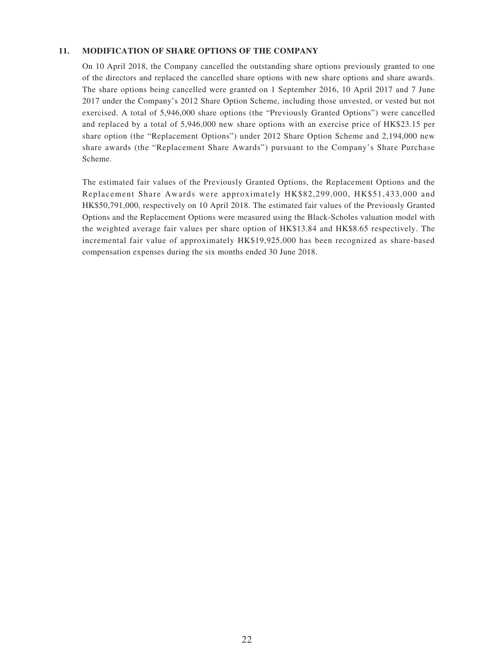#### **11. MODIFICATION OF SHARE OPTIONS OF THE COMPANY**

On 10 April 2018, the Company cancelled the outstanding share options previously granted to one of the directors and replaced the cancelled share options with new share options and share awards. The share options being cancelled were granted on 1 September 2016, 10 April 2017 and 7 June 2017 under the Company's 2012 Share Option Scheme, including those unvested, or vested but not exercised. A total of 5,946,000 share options (the "Previously Granted Options") were cancelled and replaced by a total of 5,946,000 new share options with an exercise price of HK\$23.15 per share option (the "Replacement Options") under 2012 Share Option Scheme and 2,194,000 new share awards (the "Replacement Share Awards") pursuant to the Company's Share Purchase Scheme.

The estimated fair values of the Previously Granted Options, the Replacement Options and the Replacement Share Awards were approximately HK\$82,299,000, HK\$51,433,000 and HK\$50,791,000, respectively on 10 April 2018. The estimated fair values of the Previously Granted Options and the Replacement Options were measured using the Black-Scholes valuation model with the weighted average fair values per share option of HK\$13.84 and HK\$8.65 respectively. The incremental fair value of approximately HK\$19,925,000 has been recognized as share-based compensation expenses during the six months ended 30 June 2018.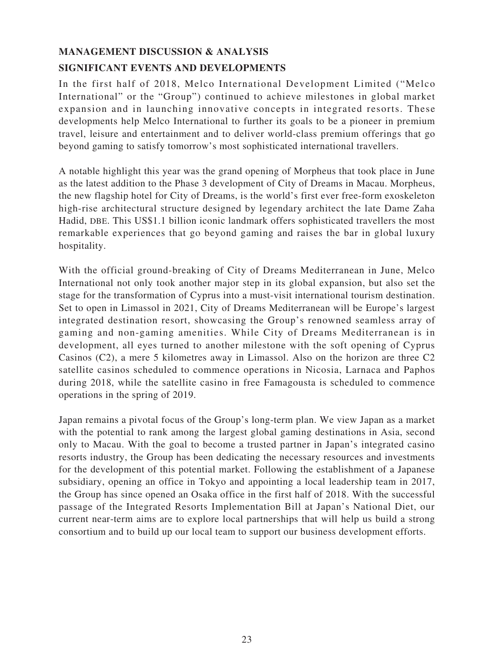# **MANAGEMENT DISCUSSION & ANALYSIS SIGNIFICANT EVENTS AND DEVELOPMENTS**

In the first half of 2018, Melco International Development Limited ("Melco International" or the "Group") continued to achieve milestones in global market expansion and in launching innovative concepts in integrated resorts. These developments help Melco International to further its goals to be a pioneer in premium travel, leisure and entertainment and to deliver world-class premium offerings that go beyond gaming to satisfy tomorrow's most sophisticated international travellers.

A notable highlight this year was the grand opening of Morpheus that took place in June as the latest addition to the Phase 3 development of City of Dreams in Macau. Morpheus, the new flagship hotel for City of Dreams, is the world's first ever free-form exoskeleton high-rise architectural structure designed by legendary architect the late Dame Zaha Hadid, DBE. This US\$1.1 billion iconic landmark offers sophisticated travellers the most remarkable experiences that go beyond gaming and raises the bar in global luxury hospitality.

With the official ground-breaking of City of Dreams Mediterranean in June, Melco International not only took another major step in its global expansion, but also set the stage for the transformation of Cyprus into a must-visit international tourism destination. Set to open in Limassol in 2021, City of Dreams Mediterranean will be Europe's largest integrated destination resort, showcasing the Group's renowned seamless array of gaming and non-gaming amenities. While City of Dreams Mediterranean is in development, all eyes turned to another milestone with the soft opening of Cyprus Casinos (C2), a mere 5 kilometres away in Limassol. Also on the horizon are three C2 satellite casinos scheduled to commence operations in Nicosia, Larnaca and Paphos during 2018, while the satellite casino in free Famagousta is scheduled to commence operations in the spring of 2019.

Japan remains a pivotal focus of the Group's long-term plan. We view Japan as a market with the potential to rank among the largest global gaming destinations in Asia, second only to Macau. With the goal to become a trusted partner in Japan's integrated casino resorts industry, the Group has been dedicating the necessary resources and investments for the development of this potential market. Following the establishment of a Japanese subsidiary, opening an office in Tokyo and appointing a local leadership team in 2017, the Group has since opened an Osaka office in the first half of 2018. With the successful passage of the Integrated Resorts Implementation Bill at Japan's National Diet, our current near-term aims are to explore local partnerships that will help us build a strong consortium and to build up our local team to support our business development efforts.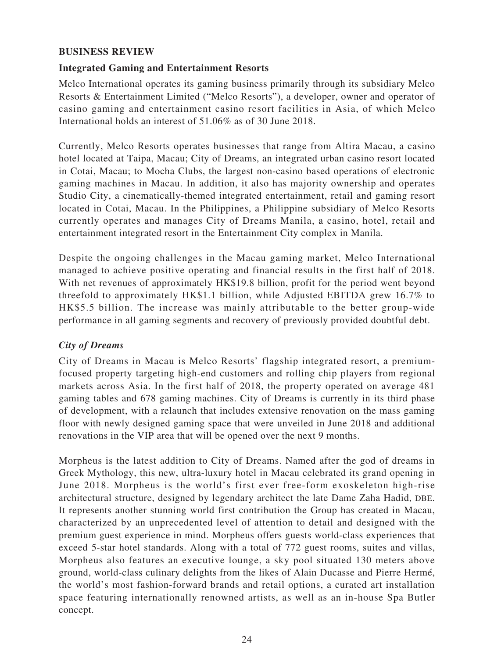# **BUSINESS REVIEW**

# **Integrated Gaming and Entertainment Resorts**

Melco International operates its gaming business primarily through its subsidiary Melco Resorts & Entertainment Limited ("Melco Resorts"), a developer, owner and operator of casino gaming and entertainment casino resort facilities in Asia, of which Melco International holds an interest of 51.06% as of 30 June 2018.

Currently, Melco Resorts operates businesses that range from Altira Macau, a casino hotel located at Taipa, Macau; City of Dreams, an integrated urban casino resort located in Cotai, Macau; to Mocha Clubs, the largest non-casino based operations of electronic gaming machines in Macau. In addition, it also has majority ownership and operates Studio City, a cinematically-themed integrated entertainment, retail and gaming resort located in Cotai, Macau. In the Philippines, a Philippine subsidiary of Melco Resorts currently operates and manages City of Dreams Manila, a casino, hotel, retail and entertainment integrated resort in the Entertainment City complex in Manila.

Despite the ongoing challenges in the Macau gaming market, Melco International managed to achieve positive operating and financial results in the first half of 2018. With net revenues of approximately HK\$19.8 billion, profit for the period went beyond threefold to approximately HK\$1.1 billion, while Adjusted EBITDA grew 16.7% to HK\$5.5 billion. The increase was mainly attributable to the better group-wide performance in all gaming segments and recovery of previously provided doubtful debt.

# *City of Dreams*

City of Dreams in Macau is Melco Resorts' flagship integrated resort, a premiumfocused property targeting high-end customers and rolling chip players from regional markets across Asia. In the first half of 2018, the property operated on average 481 gaming tables and 678 gaming machines. City of Dreams is currently in its third phase of development, with a relaunch that includes extensive renovation on the mass gaming floor with newly designed gaming space that were unveiled in June 2018 and additional renovations in the VIP area that will be opened over the next 9 months.

Morpheus is the latest addition to City of Dreams. Named after the god of dreams in Greek Mythology, this new, ultra-luxury hotel in Macau celebrated its grand opening in June 2018. Morpheus is the world's first ever free-form exoskeleton high-rise architectural structure, designed by legendary architect the late Dame Zaha Hadid, DBE. It represents another stunning world first contribution the Group has created in Macau, characterized by an unprecedented level of attention to detail and designed with the premium guest experience in mind. Morpheus offers guests world-class experiences that exceed 5-star hotel standards. Along with a total of 772 guest rooms, suites and villas, Morpheus also features an executive lounge, a sky pool situated 130 meters above ground, world-class culinary delights from the likes of Alain Ducasse and Pierre Hermé, the world's most fashion-forward brands and retail options, a curated art installation space featuring internationally renowned artists, as well as an in-house Spa Butler concept.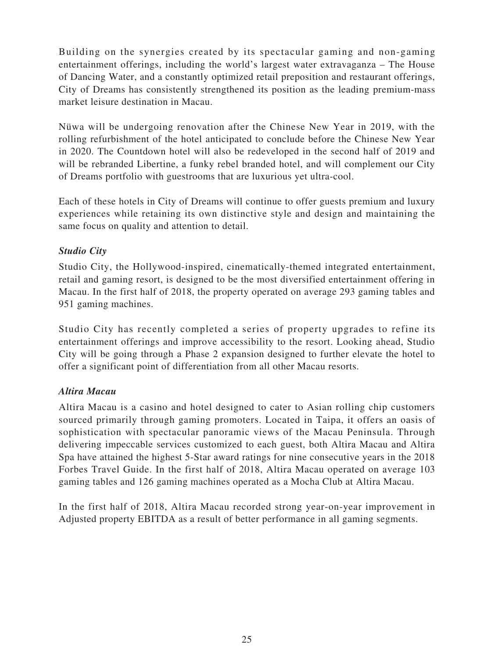Building on the synergies created by its spectacular gaming and non-gaming entertainment offerings, including the world's largest water extravaganza – The House of Dancing Water, and a constantly optimized retail preposition and restaurant offerings, City of Dreams has consistently strengthened its position as the leading premium-mass market leisure destination in Macau.

Nüwa will be undergoing renovation after the Chinese New Year in 2019, with the rolling refurbishment of the hotel anticipated to conclude before the Chinese New Year in 2020. The Countdown hotel will also be redeveloped in the second half of 2019 and will be rebranded Libertine, a funky rebel branded hotel, and will complement our City of Dreams portfolio with guestrooms that are luxurious yet ultra-cool.

Each of these hotels in City of Dreams will continue to offer guests premium and luxury experiences while retaining its own distinctive style and design and maintaining the same focus on quality and attention to detail.

# *Studio City*

Studio City, the Hollywood-inspired, cinematically-themed integrated entertainment, retail and gaming resort, is designed to be the most diversified entertainment offering in Macau. In the first half of 2018, the property operated on average 293 gaming tables and 951 gaming machines.

Studio City has recently completed a series of property upgrades to refine its entertainment offerings and improve accessibility to the resort. Looking ahead, Studio City will be going through a Phase 2 expansion designed to further elevate the hotel to offer a significant point of differentiation from all other Macau resorts.

# *Altira Macau*

Altira Macau is a casino and hotel designed to cater to Asian rolling chip customers sourced primarily through gaming promoters. Located in Taipa, it offers an oasis of sophistication with spectacular panoramic views of the Macau Peninsula. Through delivering impeccable services customized to each guest, both Altira Macau and Altira Spa have attained the highest 5-Star award ratings for nine consecutive years in the 2018 Forbes Travel Guide. In the first half of 2018, Altira Macau operated on average 103 gaming tables and 126 gaming machines operated as a Mocha Club at Altira Macau.

In the first half of 2018, Altira Macau recorded strong year-on-year improvement in Adjusted property EBITDA as a result of better performance in all gaming segments.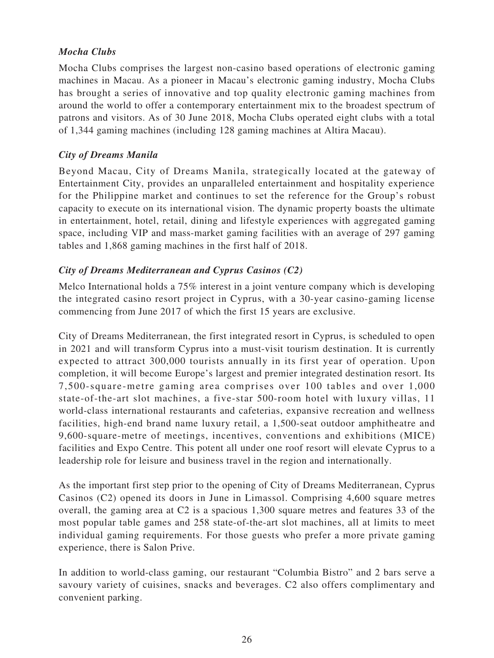# *Mocha Clubs*

Mocha Clubs comprises the largest non-casino based operations of electronic gaming machines in Macau. As a pioneer in Macau's electronic gaming industry, Mocha Clubs has brought a series of innovative and top quality electronic gaming machines from around the world to offer a contemporary entertainment mix to the broadest spectrum of patrons and visitors. As of 30 June 2018, Mocha Clubs operated eight clubs with a total of 1,344 gaming machines (including 128 gaming machines at Altira Macau).

# *City of Dreams Manila*

Beyond Macau, City of Dreams Manila, strategically located at the gateway of Entertainment City, provides an unparalleled entertainment and hospitality experience for the Philippine market and continues to set the reference for the Group's robust capacity to execute on its international vision. The dynamic property boasts the ultimate in entertainment, hotel, retail, dining and lifestyle experiences with aggregated gaming space, including VIP and mass-market gaming facilities with an average of 297 gaming tables and 1,868 gaming machines in the first half of 2018.

# *City of Dreams Mediterranean and Cyprus Casinos (C2)*

Melco International holds a 75% interest in a joint venture company which is developing the integrated casino resort project in Cyprus, with a 30-year casino-gaming license commencing from June 2017 of which the first 15 years are exclusive.

City of Dreams Mediterranean, the first integrated resort in Cyprus, is scheduled to open in 2021 and will transform Cyprus into a must-visit tourism destination. It is currently expected to attract 300,000 tourists annually in its first year of operation. Upon completion, it will become Europe's largest and premier integrated destination resort. Its 7,500-square-metre gaming area comprises over 100 tables and over 1,000 state-of-the-art slot machines, a five-star 500-room hotel with luxury villas, 11 world-class international restaurants and cafeterias, expansive recreation and wellness facilities, high-end brand name luxury retail, a 1,500-seat outdoor amphitheatre and 9,600-square-metre of meetings, incentives, conventions and exhibitions (MICE) facilities and Expo Centre. This potent all under one roof resort will elevate Cyprus to a leadership role for leisure and business travel in the region and internationally.

As the important first step prior to the opening of City of Dreams Mediterranean, Cyprus Casinos (C2) opened its doors in June in Limassol. Comprising 4,600 square metres overall, the gaming area at C2 is a spacious 1,300 square metres and features 33 of the most popular table games and 258 state-of-the-art slot machines, all at limits to meet individual gaming requirements. For those guests who prefer a more private gaming experience, there is Salon Prive.

In addition to world-class gaming, our restaurant "Columbia Bistro" and 2 bars serve a savoury variety of cuisines, snacks and beverages. C2 also offers complimentary and convenient parking.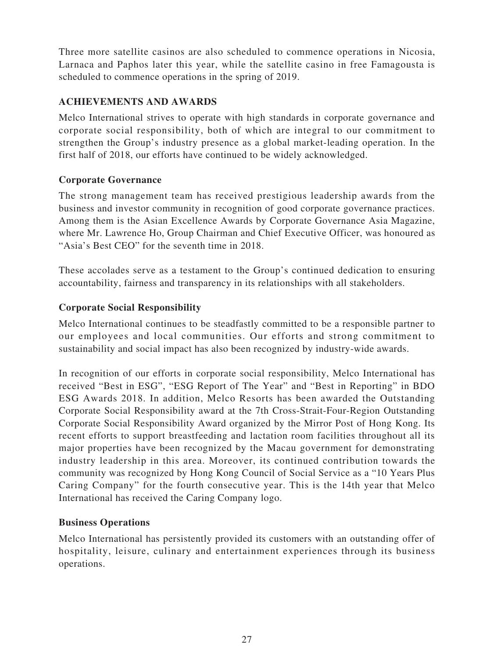Three more satellite casinos are also scheduled to commence operations in Nicosia, Larnaca and Paphos later this year, while the satellite casino in free Famagousta is scheduled to commence operations in the spring of 2019.

# **ACHIEVEMENTS AND AWARDS**

Melco International strives to operate with high standards in corporate governance and corporate social responsibility, both of which are integral to our commitment to strengthen the Group's industry presence as a global market-leading operation. In the first half of 2018, our efforts have continued to be widely acknowledged.

# **Corporate Governance**

The strong management team has received prestigious leadership awards from the business and investor community in recognition of good corporate governance practices. Among them is the Asian Excellence Awards by Corporate Governance Asia Magazine, where Mr. Lawrence Ho, Group Chairman and Chief Executive Officer, was honoured as "Asia's Best CEO" for the seventh time in 2018.

These accolades serve as a testament to the Group's continued dedication to ensuring accountability, fairness and transparency in its relationships with all stakeholders.

# **Corporate Social Responsibility**

Melco International continues to be steadfastly committed to be a responsible partner to our employees and local communities. Our efforts and strong commitment to sustainability and social impact has also been recognized by industry-wide awards.

In recognition of our efforts in corporate social responsibility, Melco International has received "Best in ESG", "ESG Report of The Year" and "Best in Reporting" in BDO ESG Awards 2018. In addition, Melco Resorts has been awarded the Outstanding Corporate Social Responsibility award at the 7th Cross-Strait-Four-Region Outstanding Corporate Social Responsibility Award organized by the Mirror Post of Hong Kong. Its recent efforts to support breastfeeding and lactation room facilities throughout all its major properties have been recognized by the Macau government for demonstrating industry leadership in this area. Moreover, its continued contribution towards the community was recognized by Hong Kong Council of Social Service as a "10 Years Plus Caring Company" for the fourth consecutive year. This is the 14th year that Melco International has received the Caring Company logo.

# **Business Operations**

Melco International has persistently provided its customers with an outstanding offer of hospitality, leisure, culinary and entertainment experiences through its business operations.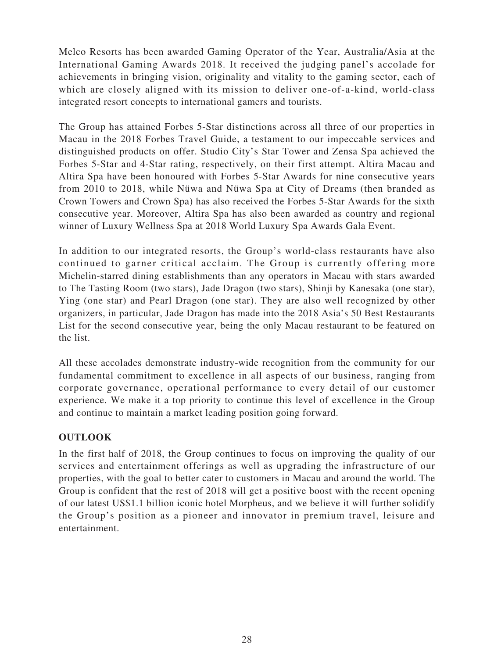Melco Resorts has been awarded Gaming Operator of the Year, Australia/Asia at the International Gaming Awards 2018. It received the judging panel's accolade for achievements in bringing vision, originality and vitality to the gaming sector, each of which are closely aligned with its mission to deliver one-of-a-kind, world-class integrated resort concepts to international gamers and tourists.

The Group has attained Forbes 5-Star distinctions across all three of our properties in Macau in the 2018 Forbes Travel Guide, a testament to our impeccable services and distinguished products on offer. Studio City's Star Tower and Zensa Spa achieved the Forbes 5-Star and 4-Star rating, respectively, on their first attempt. Altira Macau and Altira Spa have been honoured with Forbes 5-Star Awards for nine consecutive years from 2010 to 2018, while Nüwa and Nüwa Spa at City of Dreams (then branded as Crown Towers and Crown Spa) has also received the Forbes 5-Star Awards for the sixth consecutive year. Moreover, Altira Spa has also been awarded as country and regional winner of Luxury Wellness Spa at 2018 World Luxury Spa Awards Gala Event.

In addition to our integrated resorts, the Group's world-class restaurants have also continued to garner critical acclaim. The Group is currently offering more Michelin-starred dining establishments than any operators in Macau with stars awarded to The Tasting Room (two stars), Jade Dragon (two stars), Shinji by Kanesaka (one star), Ying (one star) and Pearl Dragon (one star). They are also well recognized by other organizers, in particular, Jade Dragon has made into the 2018 Asia's 50 Best Restaurants List for the second consecutive year, being the only Macau restaurant to be featured on the list.

All these accolades demonstrate industry-wide recognition from the community for our fundamental commitment to excellence in all aspects of our business, ranging from corporate governance, operational performance to every detail of our customer experience. We make it a top priority to continue this level of excellence in the Group and continue to maintain a market leading position going forward.

# **OUTLOOK**

In the first half of 2018, the Group continues to focus on improving the quality of our services and entertainment offerings as well as upgrading the infrastructure of our properties, with the goal to better cater to customers in Macau and around the world. The Group is confident that the rest of 2018 will get a positive boost with the recent opening of our latest US\$1.1 billion iconic hotel Morpheus, and we believe it will further solidify the Group's position as a pioneer and innovator in premium travel, leisure and entertainment.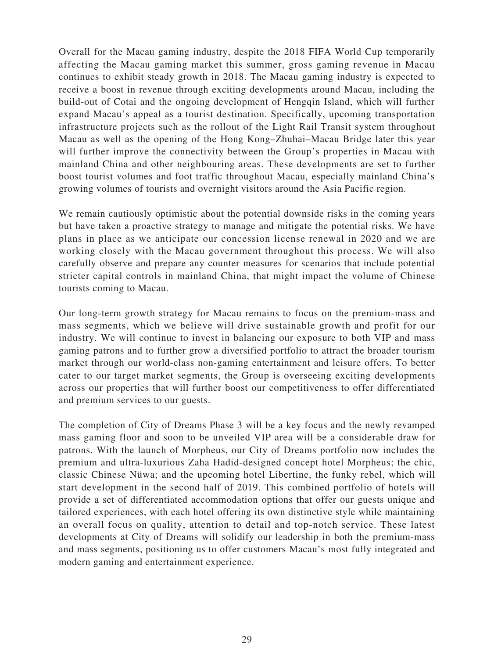Overall for the Macau gaming industry, despite the 2018 FIFA World Cup temporarily affecting the Macau gaming market this summer, gross gaming revenue in Macau continues to exhibit steady growth in 2018. The Macau gaming industry is expected to receive a boost in revenue through exciting developments around Macau, including the build-out of Cotai and the ongoing development of Hengqin Island, which will further expand Macau's appeal as a tourist destination. Specifically, upcoming transportation infrastructure projects such as the rollout of the Light Rail Transit system throughout Macau as well as the opening of the Hong Kong–Zhuhai–Macau Bridge later this year will further improve the connectivity between the Group's properties in Macau with mainland China and other neighbouring areas. These developments are set to further boost tourist volumes and foot traffic throughout Macau, especially mainland China's growing volumes of tourists and overnight visitors around the Asia Pacific region.

We remain cautiously optimistic about the potential downside risks in the coming years but have taken a proactive strategy to manage and mitigate the potential risks. We have plans in place as we anticipate our concession license renewal in 2020 and we are working closely with the Macau government throughout this process. We will also carefully observe and prepare any counter measures for scenarios that include potential stricter capital controls in mainland China, that might impact the volume of Chinese tourists coming to Macau.

Our long-term growth strategy for Macau remains to focus on the premium-mass and mass segments, which we believe will drive sustainable growth and profit for our industry. We will continue to invest in balancing our exposure to both VIP and mass gaming patrons and to further grow a diversified portfolio to attract the broader tourism market through our world-class non-gaming entertainment and leisure offers. To better cater to our target market segments, the Group is overseeing exciting developments across our properties that will further boost our competitiveness to offer differentiated and premium services to our guests.

The completion of City of Dreams Phase 3 will be a key focus and the newly revamped mass gaming floor and soon to be unveiled VIP area will be a considerable draw for patrons. With the launch of Morpheus, our City of Dreams portfolio now includes the premium and ultra-luxurious Zaha Hadid-designed concept hotel Morpheus; the chic, classic Chinese Nüwa; and the upcoming hotel Libertine, the funky rebel, which will start development in the second half of 2019. This combined portfolio of hotels will provide a set of differentiated accommodation options that offer our guests unique and tailored experiences, with each hotel offering its own distinctive style while maintaining an overall focus on quality, attention to detail and top-notch service. These latest developments at City of Dreams will solidify our leadership in both the premium-mass and mass segments, positioning us to offer customers Macau's most fully integrated and modern gaming and entertainment experience.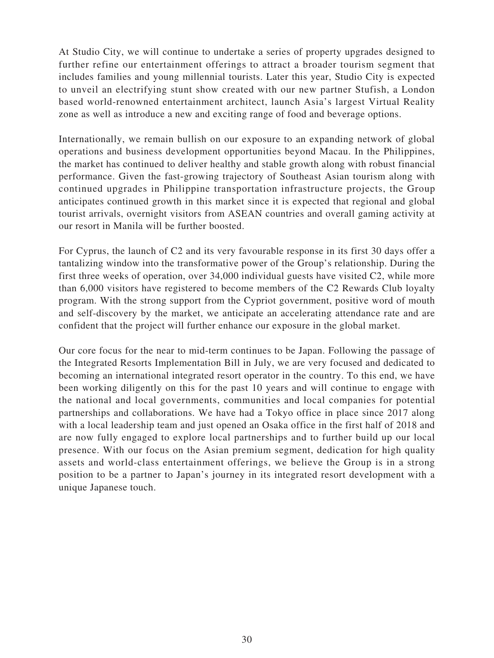At Studio City, we will continue to undertake a series of property upgrades designed to further refine our entertainment offerings to attract a broader tourism segment that includes families and young millennial tourists. Later this year, Studio City is expected to unveil an electrifying stunt show created with our new partner Stufish, a London based world-renowned entertainment architect, launch Asia's largest Virtual Reality zone as well as introduce a new and exciting range of food and beverage options.

Internationally, we remain bullish on our exposure to an expanding network of global operations and business development opportunities beyond Macau. In the Philippines, the market has continued to deliver healthy and stable growth along with robust financial performance. Given the fast-growing trajectory of Southeast Asian tourism along with continued upgrades in Philippine transportation infrastructure projects, the Group anticipates continued growth in this market since it is expected that regional and global tourist arrivals, overnight visitors from ASEAN countries and overall gaming activity at our resort in Manila will be further boosted.

For Cyprus, the launch of C2 and its very favourable response in its first 30 days offer a tantalizing window into the transformative power of the Group's relationship. During the first three weeks of operation, over 34,000 individual guests have visited C2, while more than 6,000 visitors have registered to become members of the C2 Rewards Club loyalty program. With the strong support from the Cypriot government, positive word of mouth and self-discovery by the market, we anticipate an accelerating attendance rate and are confident that the project will further enhance our exposure in the global market.

Our core focus for the near to mid-term continues to be Japan. Following the passage of the Integrated Resorts Implementation Bill in July, we are very focused and dedicated to becoming an international integrated resort operator in the country. To this end, we have been working diligently on this for the past 10 years and will continue to engage with the national and local governments, communities and local companies for potential partnerships and collaborations. We have had a Tokyo office in place since 2017 along with a local leadership team and just opened an Osaka office in the first half of 2018 and are now fully engaged to explore local partnerships and to further build up our local presence. With our focus on the Asian premium segment, dedication for high quality assets and world-class entertainment offerings, we believe the Group is in a strong position to be a partner to Japan's journey in its integrated resort development with a unique Japanese touch.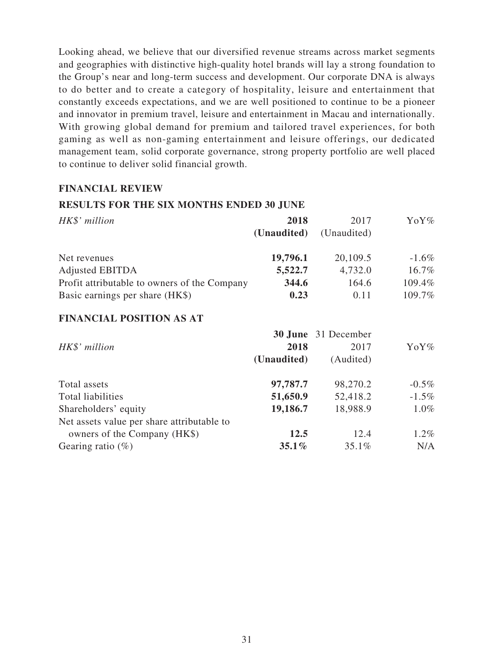Looking ahead, we believe that our diversified revenue streams across market segments and geographies with distinctive high-quality hotel brands will lay a strong foundation to the Group's near and long-term success and development. Our corporate DNA is always to do better and to create a category of hospitality, leisure and entertainment that constantly exceeds expectations, and we are well positioned to continue to be a pioneer and innovator in premium travel, leisure and entertainment in Macau and internationally. With growing global demand for premium and tailored travel experiences, for both gaming as well as non-gaming entertainment and leisure offerings, our dedicated management team, solid corporate governance, strong property portfolio are well placed to continue to deliver solid financial growth.

### **FINANCIAL REVIEW**

### **RESULTS FOR THE SIX MONTHS ENDED 30 JUNE**

| HK\$' million                                | 2018<br>(Unaudited) | 2017<br>(Unaudited) | YoY%     |
|----------------------------------------------|---------------------|---------------------|----------|
| Net revenues                                 | 19,796.1            | 20,109.5            | $-1.6\%$ |
| <b>Adjusted EBITDA</b>                       | 5,522.7             | 4,732.0             | 16.7%    |
| Profit attributable to owners of the Company | 344.6               | 164.6               | 109.4%   |
| Basic earnings per share (HK\$)              | 0.23                | 0.11                | 109.7%   |

# **FINANCIAL POSITION AS AT**

|                                            |             | 30 June 31 December |          |
|--------------------------------------------|-------------|---------------------|----------|
| HK\$' million                              | 2018        | 2017                | YoY%     |
|                                            | (Unaudited) | (Audited)           |          |
| Total assets                               | 97,787.7    | 98,270.2            | $-0.5\%$ |
| Total liabilities                          | 51,650.9    | 52,418.2            | $-1.5\%$ |
| Shareholders' equity                       | 19,186.7    | 18,988.9            | 1.0%     |
| Net assets value per share attributable to |             |                     |          |
| owners of the Company (HK\$)               | 12.5        | 12.4                | $1.2\%$  |
| Gearing ratio $(\%)$                       | $35.1\%$    | 35.1%               | N/A      |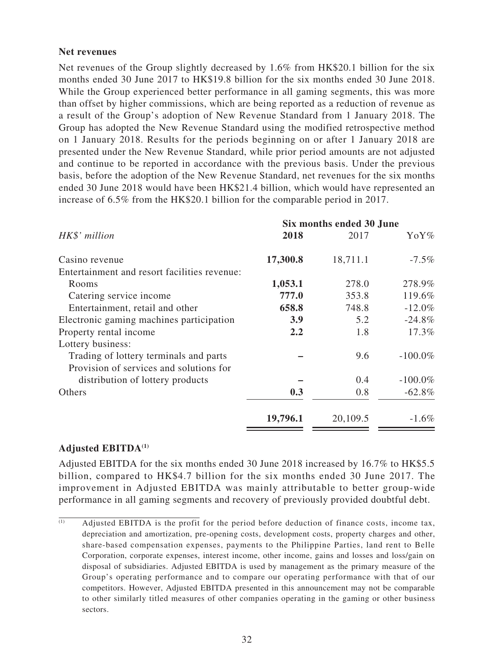### **Net revenues**

Net revenues of the Group slightly decreased by 1.6% from HK\$20.1 billion for the six months ended 30 June 2017 to HK\$19.8 billion for the six months ended 30 June 2018. While the Group experienced better performance in all gaming segments, this was more than offset by higher commissions, which are being reported as a reduction of revenue as a result of the Group's adoption of New Revenue Standard from 1 January 2018. The Group has adopted the New Revenue Standard using the modified retrospective method on 1 January 2018. Results for the periods beginning on or after 1 January 2018 are presented under the New Revenue Standard, while prior period amounts are not adjusted and continue to be reported in accordance with the previous basis. Under the previous basis, before the adoption of the New Revenue Standard, net revenues for the six months ended 30 June 2018 would have been HK\$21.4 billion, which would have represented an increase of 6.5% from the HK\$20.1 billion for the comparable period in 2017.

|                                              |          | Six months ended 30 June |            |
|----------------------------------------------|----------|--------------------------|------------|
| HK\$' million                                | 2018     | 2017                     | YoY%       |
| Casino revenue                               | 17,300.8 | 18,711.1                 | $-7.5\%$   |
| Entertainment and resort facilities revenue: |          |                          |            |
| Rooms                                        | 1,053.1  | 278.0                    | 278.9%     |
| Catering service income                      | 777.0    | 353.8                    | 119.6%     |
| Entertainment, retail and other              | 658.8    | 748.8                    | $-12.0%$   |
| Electronic gaming machines participation     | 3.9      | 5.2                      | $-24.8%$   |
| Property rental income                       | 2.2      | 1.8                      | 17.3%      |
| Lottery business:                            |          |                          |            |
| Trading of lottery terminals and parts       |          | 9.6                      | $-100.0\%$ |
| Provision of services and solutions for      |          |                          |            |
| distribution of lottery products             |          | 0.4                      | $-100.0\%$ |
| Others                                       | 0.3      | 0.8                      | $-62.8%$   |
|                                              | 19,796.1 | 20,109.5                 | $-1.6\%$   |
|                                              |          |                          |            |

# **Adjusted EBITDA(1)**

Adjusted EBITDA for the six months ended 30 June 2018 increased by 16.7% to HK\$5.5 billion, compared to HK\$4.7 billion for the six months ended 30 June 2017. The improvement in Adjusted EBITDA was mainly attributable to better group-wide performance in all gaming segments and recovery of previously provided doubtful debt.

 $\overline{a}$  Adjusted EBITDA is the profit for the period before deduction of finance costs, income tax, depreciation and amortization, pre-opening costs, development costs, property charges and other, share-based compensation expenses, payments to the Philippine Parties, land rent to Belle Corporation, corporate expenses, interest income, other income, gains and losses and loss/gain on disposal of subsidiaries. Adjusted EBITDA is used by management as the primary measure of the Group's operating performance and to compare our operating performance with that of our competitors. However, Adjusted EBITDA presented in this announcement may not be comparable to other similarly titled measures of other companies operating in the gaming or other business sectors.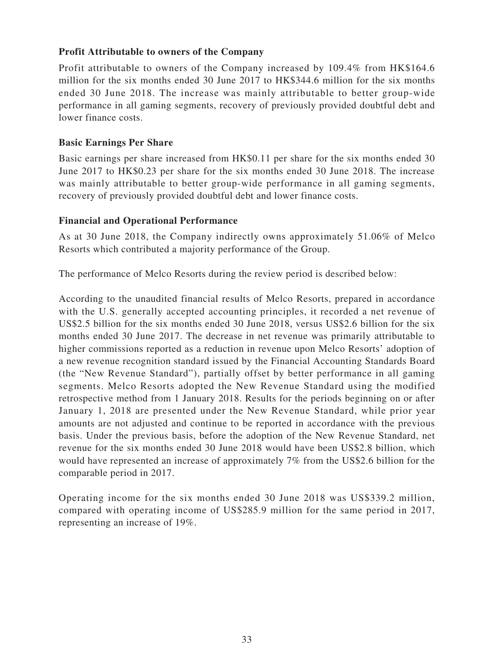# **Profit Attributable to owners of the Company**

Profit attributable to owners of the Company increased by 109.4% from HK\$164.6 million for the six months ended 30 June 2017 to HK\$344.6 million for the six months ended 30 June 2018. The increase was mainly attributable to better group-wide performance in all gaming segments, recovery of previously provided doubtful debt and lower finance costs.

### **Basic Earnings Per Share**

Basic earnings per share increased from HK\$0.11 per share for the six months ended 30 June 2017 to HK\$0.23 per share for the six months ended 30 June 2018. The increase was mainly attributable to better group-wide performance in all gaming segments, recovery of previously provided doubtful debt and lower finance costs.

### **Financial and Operational Performance**

As at 30 June 2018, the Company indirectly owns approximately 51.06% of Melco Resorts which contributed a majority performance of the Group.

The performance of Melco Resorts during the review period is described below:

According to the unaudited financial results of Melco Resorts, prepared in accordance with the U.S. generally accepted accounting principles, it recorded a net revenue of US\$2.5 billion for the six months ended 30 June 2018, versus US\$2.6 billion for the six months ended 30 June 2017. The decrease in net revenue was primarily attributable to higher commissions reported as a reduction in revenue upon Melco Resorts' adoption of a new revenue recognition standard issued by the Financial Accounting Standards Board (the "New Revenue Standard"), partially offset by better performance in all gaming segments. Melco Resorts adopted the New Revenue Standard using the modified retrospective method from 1 January 2018. Results for the periods beginning on or after January 1, 2018 are presented under the New Revenue Standard, while prior year amounts are not adjusted and continue to be reported in accordance with the previous basis. Under the previous basis, before the adoption of the New Revenue Standard, net revenue for the six months ended 30 June 2018 would have been US\$2.8 billion, which would have represented an increase of approximately 7% from the US\$2.6 billion for the comparable period in 2017.

Operating income for the six months ended 30 June 2018 was US\$339.2 million, compared with operating income of US\$285.9 million for the same period in 2017, representing an increase of 19%.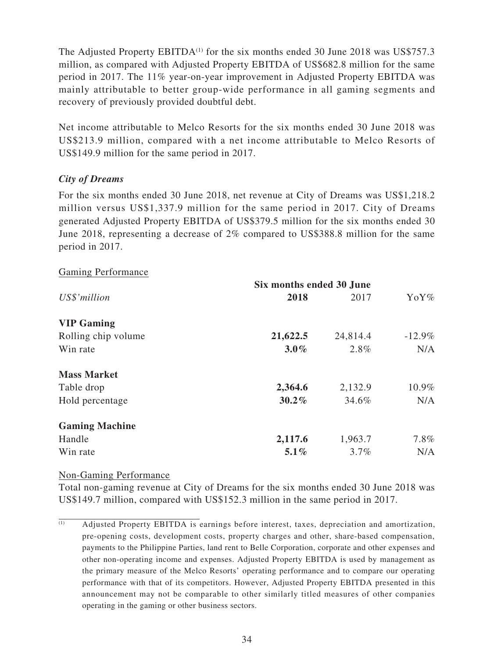The Adjusted Property  $EBITDA<sup>(1)</sup>$  for the six months ended 30 June 2018 was US\$757.3 million, as compared with Adjusted Property EBITDA of US\$682.8 million for the same period in 2017. The 11% year-on-year improvement in Adjusted Property EBITDA was mainly attributable to better group-wide performance in all gaming segments and recovery of previously provided doubtful debt.

Net income attributable to Melco Resorts for the six months ended 30 June 2018 was US\$213.9 million, compared with a net income attributable to Melco Resorts of US\$149.9 million for the same period in 2017.

# *City of Dreams*

For the six months ended 30 June 2018, net revenue at City of Dreams was US\$1,218.2 million versus US\$1,337.9 million for the same period in 2017. City of Dreams generated Adjusted Property EBITDA of US\$379.5 million for the six months ended 30 June 2018, representing a decrease of 2% compared to US\$388.8 million for the same period in 2017.

### Gaming Performance

|                       | Six months ended 30 June |          |           |  |
|-----------------------|--------------------------|----------|-----------|--|
| US\$'million          | 2018                     | 2017     | YoY%      |  |
| <b>VIP Gaming</b>     |                          |          |           |  |
| Rolling chip volume   | 21,622.5                 | 24,814.4 | $-12.9\%$ |  |
| Win rate              | $3.0\%$                  | 2.8%     | N/A       |  |
| <b>Mass Market</b>    |                          |          |           |  |
| Table drop            | 2,364.6                  | 2,132.9  | 10.9%     |  |
| Hold percentage       | $30.2\%$                 | 34.6%    | N/A       |  |
| <b>Gaming Machine</b> |                          |          |           |  |
| Handle                | 2,117.6                  | 1,963.7  | $7.8\%$   |  |
| Win rate              | $5.1\%$                  | $3.7\%$  | N/A       |  |

### Non-Gaming Performance

Total non-gaming revenue at City of Dreams for the six months ended 30 June 2018 was US\$149.7 million, compared with US\$152.3 million in the same period in 2017.

 $\overline{a}$  Adjusted Property EBITDA is earnings before interest, taxes, depreciation and amortization, pre-opening costs, development costs, property charges and other, share-based compensation, payments to the Philippine Parties, land rent to Belle Corporation, corporate and other expenses and other non-operating income and expenses. Adjusted Property EBITDA is used by management as the primary measure of the Melco Resorts' operating performance and to compare our operating performance with that of its competitors. However, Adjusted Property EBITDA presented in this announcement may not be comparable to other similarly titled measures of other companies operating in the gaming or other business sectors.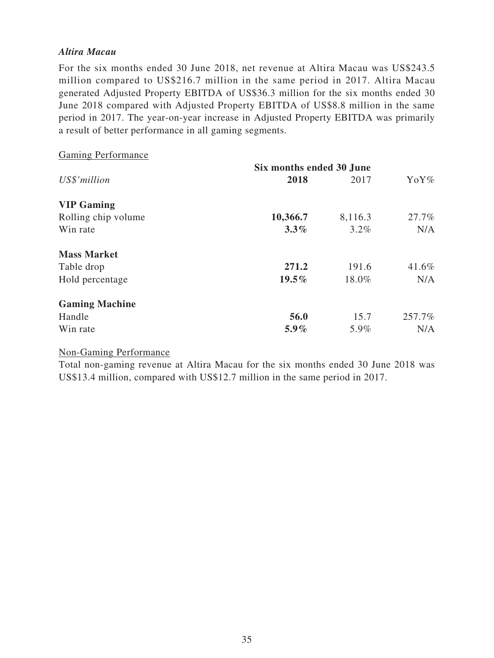### *Altira Macau*

For the six months ended 30 June 2018, net revenue at Altira Macau was US\$243.5 million compared to US\$216.7 million in the same period in 2017. Altira Macau generated Adjusted Property EBITDA of US\$36.3 million for the six months ended 30 June 2018 compared with Adjusted Property EBITDA of US\$8.8 million in the same period in 2017. The year-on-year increase in Adjusted Property EBITDA was primarily a result of better performance in all gaming segments.

| <b>Gaming Performance</b> |                          |         |        |
|---------------------------|--------------------------|---------|--------|
|                           | Six months ended 30 June |         |        |
| US\$'million              | 2018                     | 2017    | YoY%   |
| <b>VIP Gaming</b>         |                          |         |        |
| Rolling chip volume       | 10,366.7                 | 8,116.3 | 27.7%  |
| Win rate                  | $3.3\%$                  | $3.2\%$ | N/A    |
| <b>Mass Market</b>        |                          |         |        |
| Table drop                | 271.2                    | 191.6   | 41.6%  |
| Hold percentage           | $19.5\%$                 | 18.0%   | N/A    |
| <b>Gaming Machine</b>     |                          |         |        |
| Handle                    | 56.0                     | 15.7    | 257.7% |
| Win rate                  | $5.9\%$                  | 5.9%    | N/A    |

# Non-Gaming Performance

Total non-gaming revenue at Altira Macau for the six months ended 30 June 2018 was US\$13.4 million, compared with US\$12.7 million in the same period in 2017.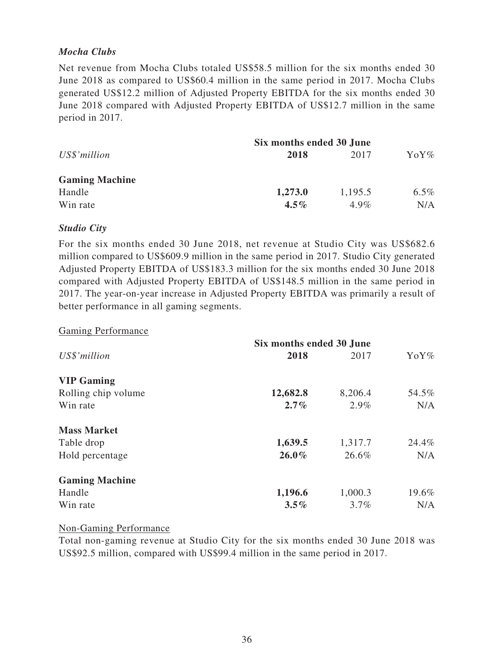# *Mocha Clubs*

Net revenue from Mocha Clubs totaled US\$58.5 million for the six months ended 30 June 2018 as compared to US\$60.4 million in the same period in 2017. Mocha Clubs generated US\$12.2 million of Adjusted Property EBITDA for the six months ended 30 June 2018 compared with Adjusted Property EBITDA of US\$12.7 million in the same period in 2017.

| Six months ended 30 June |         |                     |
|--------------------------|---------|---------------------|
| 2018                     | 2017    | $\gamma_0 \gamma\%$ |
|                          |         |                     |
| 1,273.0                  | 1,195.5 | $6.5\%$             |
| $4.5\%$                  | $4.9\%$ | N/A                 |
|                          |         |                     |

### *Studio City*

For the six months ended 30 June 2018, net revenue at Studio City was US\$682.6 million compared to US\$609.9 million in the same period in 2017. Studio City generated Adjusted Property EBITDA of US\$183.3 million for the six months ended 30 June 2018 compared with Adjusted Property EBITDA of US\$148.5 million in the same period in 2017. The year-on-year increase in Adjusted Property EBITDA was primarily a result of better performance in all gaming segments.

### Gaming Performance

|                       | Six months ended 30 June |         |                     |
|-----------------------|--------------------------|---------|---------------------|
| US\$'million          | 2018                     | 2017    | $\gamma_0 \gamma$ % |
| <b>VIP Gaming</b>     |                          |         |                     |
| Rolling chip volume   | 12,682.8                 | 8,206.4 | 54.5%               |
| Win rate              | $2.7\%$                  | 2.9%    | N/A                 |
| <b>Mass Market</b>    |                          |         |                     |
| Table drop            | 1,639.5                  | 1,317.7 | 24.4%               |
| Hold percentage       | $26.0\%$                 | 26.6%   | N/A                 |
| <b>Gaming Machine</b> |                          |         |                     |
| Handle                | 1,196.6                  | 1,000.3 | 19.6%               |
| Win rate              | $3.5\%$                  | $3.7\%$ | N/A                 |

### Non-Gaming Performance

Total non-gaming revenue at Studio City for the six months ended 30 June 2018 was US\$92.5 million, compared with US\$99.4 million in the same period in 2017.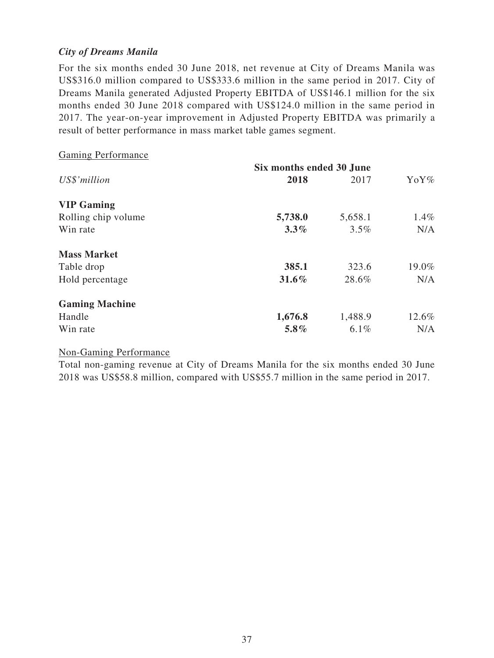# *City of Dreams Manila*

For the six months ended 30 June 2018, net revenue at City of Dreams Manila was US\$316.0 million compared to US\$333.6 million in the same period in 2017. City of Dreams Manila generated Adjusted Property EBITDA of US\$146.1 million for the six months ended 30 June 2018 compared with US\$124.0 million in the same period in 2017. The year-on-year improvement in Adjusted Property EBITDA was primarily a result of better performance in mass market table games segment.

| <b>Gaming Performance</b> |                          |         |       |
|---------------------------|--------------------------|---------|-------|
|                           | Six months ended 30 June |         |       |
| US\$'million              | 2018                     | 2017    | YoY%  |
| <b>VIP Gaming</b>         |                          |         |       |
| Rolling chip volume       | 5,738.0                  | 5,658.1 | 1.4%  |
| Win rate                  | $3.3\%$                  | 3.5%    | N/A   |
| <b>Mass Market</b>        |                          |         |       |
| Table drop                | 385.1                    | 323.6   | 19.0% |
| Hold percentage           | 31.6%                    | 28.6%   | N/A   |
| <b>Gaming Machine</b>     |                          |         |       |
| Handle                    | 1,676.8                  | 1,488.9 | 12.6% |
| Win rate                  | $5.8\%$                  | $6.1\%$ | N/A   |

### Non-Gaming Performance

Total non-gaming revenue at City of Dreams Manila for the six months ended 30 June 2018 was US\$58.8 million, compared with US\$55.7 million in the same period in 2017.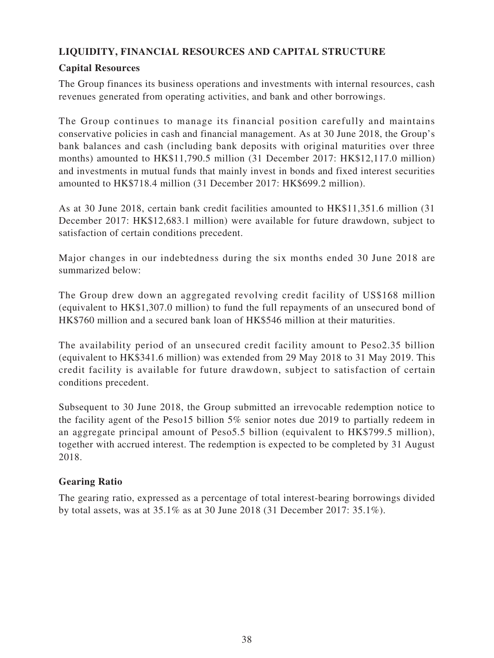# **LIQUIDITY, FINANCIAL RESOURCES AND CAPITAL STRUCTURE**

# **Capital Resources**

The Group finances its business operations and investments with internal resources, cash revenues generated from operating activities, and bank and other borrowings.

The Group continues to manage its financial position carefully and maintains conservative policies in cash and financial management. As at 30 June 2018, the Group's bank balances and cash (including bank deposits with original maturities over three months) amounted to HK\$11,790.5 million (31 December 2017: HK\$12,117.0 million) and investments in mutual funds that mainly invest in bonds and fixed interest securities amounted to HK\$718.4 million (31 December 2017: HK\$699.2 million).

As at 30 June 2018, certain bank credit facilities amounted to HK\$11,351.6 million (31 December 2017: HK\$12,683.1 million) were available for future drawdown, subject to satisfaction of certain conditions precedent.

Major changes in our indebtedness during the six months ended 30 June 2018 are summarized below:

The Group drew down an aggregated revolving credit facility of US\$168 million (equivalent to HK\$1,307.0 million) to fund the full repayments of an unsecured bond of HK\$760 million and a secured bank loan of HK\$546 million at their maturities.

The availability period of an unsecured credit facility amount to Peso2.35 billion (equivalent to HK\$341.6 million) was extended from 29 May 2018 to 31 May 2019. This credit facility is available for future drawdown, subject to satisfaction of certain conditions precedent.

Subsequent to 30 June 2018, the Group submitted an irrevocable redemption notice to the facility agent of the Peso15 billion 5% senior notes due 2019 to partially redeem in an aggregate principal amount of Peso5.5 billion (equivalent to HK\$799.5 million), together with accrued interest. The redemption is expected to be completed by 31 August 2018.

# **Gearing Ratio**

The gearing ratio, expressed as a percentage of total interest-bearing borrowings divided by total assets, was at 35.1% as at 30 June 2018 (31 December 2017: 35.1%).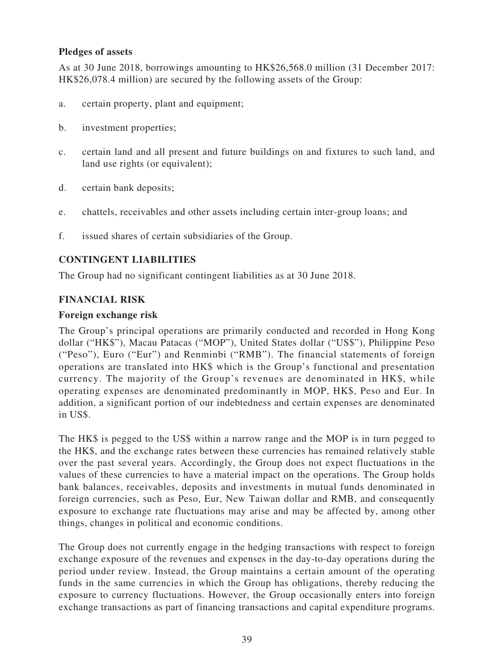### **Pledges of assets**

As at 30 June 2018, borrowings amounting to HK\$26,568.0 million (31 December 2017: HK\$26,078.4 million) are secured by the following assets of the Group:

- a. certain property, plant and equipment;
- b. investment properties;
- c. certain land and all present and future buildings on and fixtures to such land, and land use rights (or equivalent);
- d. certain bank deposits;
- e. chattels, receivables and other assets including certain inter-group loans; and
- f. issued shares of certain subsidiaries of the Group.

# **CONTINGENT LIABILITIES**

The Group had no significant contingent liabilities as at 30 June 2018.

### **FINANCIAL RISK**

### **Foreign exchange risk**

The Group's principal operations are primarily conducted and recorded in Hong Kong dollar ("HK\$"), Macau Patacas ("MOP"), United States dollar ("US\$"), Philippine Peso ("Peso"), Euro ("Eur") and Renminbi ("RMB"). The financial statements of foreign operations are translated into HK\$ which is the Group's functional and presentation currency. The majority of the Group's revenues are denominated in HK\$, while operating expenses are denominated predominantly in MOP, HK\$, Peso and Eur. In addition, a significant portion of our indebtedness and certain expenses are denominated in US\$.

The HK\$ is pegged to the US\$ within a narrow range and the MOP is in turn pegged to the HK\$, and the exchange rates between these currencies has remained relatively stable over the past several years. Accordingly, the Group does not expect fluctuations in the values of these currencies to have a material impact on the operations. The Group holds bank balances, receivables, deposits and investments in mutual funds denominated in foreign currencies, such as Peso, Eur, New Taiwan dollar and RMB, and consequently exposure to exchange rate fluctuations may arise and may be affected by, among other things, changes in political and economic conditions.

The Group does not currently engage in the hedging transactions with respect to foreign exchange exposure of the revenues and expenses in the day-to-day operations during the period under review. Instead, the Group maintains a certain amount of the operating funds in the same currencies in which the Group has obligations, thereby reducing the exposure to currency fluctuations. However, the Group occasionally enters into foreign exchange transactions as part of financing transactions and capital expenditure programs.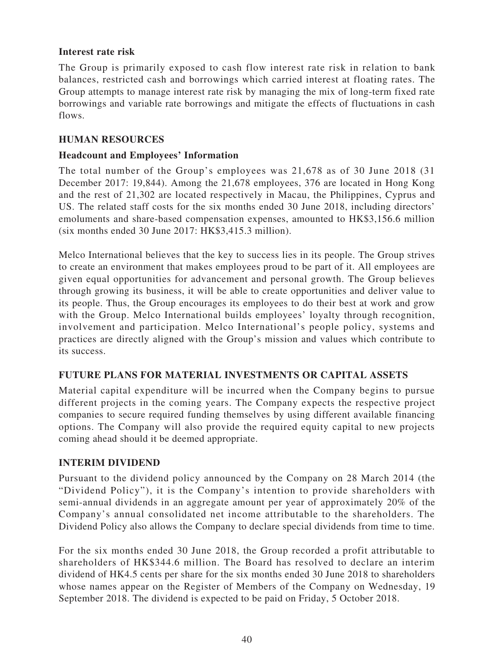# **Interest rate risk**

The Group is primarily exposed to cash flow interest rate risk in relation to bank balances, restricted cash and borrowings which carried interest at floating rates. The Group attempts to manage interest rate risk by managing the mix of long-term fixed rate borrowings and variable rate borrowings and mitigate the effects of fluctuations in cash flows.

### **HUMAN RESOURCES**

### **Headcount and Employees' Information**

The total number of the Group's employees was 21,678 as of 30 June 2018 (31 December 2017: 19,844). Among the 21,678 employees, 376 are located in Hong Kong and the rest of 21,302 are located respectively in Macau, the Philippines, Cyprus and US. The related staff costs for the six months ended 30 June 2018, including directors' emoluments and share-based compensation expenses, amounted to HK\$3,156.6 million (six months ended 30 June 2017: HK\$3,415.3 million).

Melco International believes that the key to success lies in its people. The Group strives to create an environment that makes employees proud to be part of it. All employees are given equal opportunities for advancement and personal growth. The Group believes through growing its business, it will be able to create opportunities and deliver value to its people. Thus, the Group encourages its employees to do their best at work and grow with the Group. Melco International builds employees' loyalty through recognition, involvement and participation. Melco International's people policy, systems and practices are directly aligned with the Group's mission and values which contribute to its success.

# **FUTURE PLANS FOR MATERIAL INVESTMENTS OR CAPITAL ASSETS**

Material capital expenditure will be incurred when the Company begins to pursue different projects in the coming years. The Company expects the respective project companies to secure required funding themselves by using different available financing options. The Company will also provide the required equity capital to new projects coming ahead should it be deemed appropriate.

# **INTERIM DIVIDEND**

Pursuant to the dividend policy announced by the Company on 28 March 2014 (the "Dividend Policy"), it is the Company's intention to provide shareholders with semi-annual dividends in an aggregate amount per year of approximately 20% of the Company's annual consolidated net income attributable to the shareholders. The Dividend Policy also allows the Company to declare special dividends from time to time.

For the six months ended 30 June 2018, the Group recorded a profit attributable to shareholders of HK\$344.6 million. The Board has resolved to declare an interim dividend of HK4.5 cents per share for the six months ended 30 June 2018 to shareholders whose names appear on the Register of Members of the Company on Wednesday, 19 September 2018. The dividend is expected to be paid on Friday, 5 October 2018.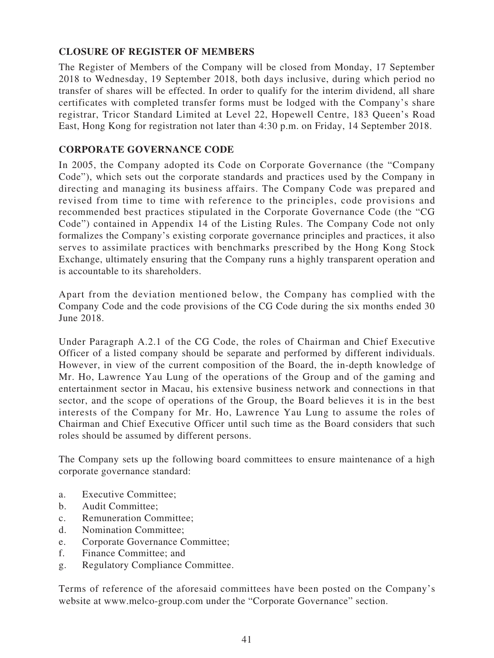# **CLOSURE OF REGISTER OF MEMBERS**

The Register of Members of the Company will be closed from Monday, 17 September 2018 to Wednesday, 19 September 2018, both days inclusive, during which period no transfer of shares will be effected. In order to qualify for the interim dividend, all share certificates with completed transfer forms must be lodged with the Company's share registrar, Tricor Standard Limited at Level 22, Hopewell Centre, 183 Queen's Road East, Hong Kong for registration not later than 4:30 p.m. on Friday, 14 September 2018.

# **CORPORATE GOVERNANCE CODE**

In 2005, the Company adopted its Code on Corporate Governance (the "Company Code"), which sets out the corporate standards and practices used by the Company in directing and managing its business affairs. The Company Code was prepared and revised from time to time with reference to the principles, code provisions and recommended best practices stipulated in the Corporate Governance Code (the "CG Code") contained in Appendix 14 of the Listing Rules. The Company Code not only formalizes the Company's existing corporate governance principles and practices, it also serves to assimilate practices with benchmarks prescribed by the Hong Kong Stock Exchange, ultimately ensuring that the Company runs a highly transparent operation and is accountable to its shareholders.

Apart from the deviation mentioned below, the Company has complied with the Company Code and the code provisions of the CG Code during the six months ended 30 June 2018.

Under Paragraph A.2.1 of the CG Code, the roles of Chairman and Chief Executive Officer of a listed company should be separate and performed by different individuals. However, in view of the current composition of the Board, the in-depth knowledge of Mr. Ho, Lawrence Yau Lung of the operations of the Group and of the gaming and entertainment sector in Macau, his extensive business network and connections in that sector, and the scope of operations of the Group, the Board believes it is in the best interests of the Company for Mr. Ho, Lawrence Yau Lung to assume the roles of Chairman and Chief Executive Officer until such time as the Board considers that such roles should be assumed by different persons.

The Company sets up the following board committees to ensure maintenance of a high corporate governance standard:

- a. Executive Committee;
- b. Audit Committee;
- c. Remuneration Committee;
- d. Nomination Committee;
- e. Corporate Governance Committee;
- f. Finance Committee; and
- g. Regulatory Compliance Committee.

Terms of reference of the aforesaid committees have been posted on the Company's website at www.melco-group.com under the "Corporate Governance" section.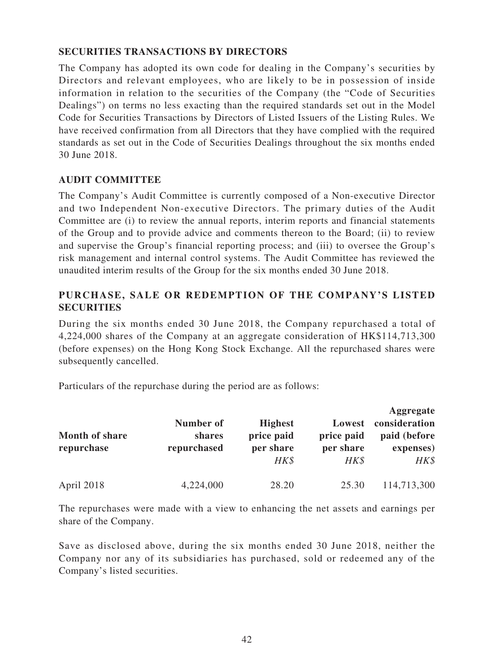# **SECURITIES TRANSACTIONS BY DIRECTORS**

The Company has adopted its own code for dealing in the Company's securities by Directors and relevant employees, who are likely to be in possession of inside information in relation to the securities of the Company (the "Code of Securities Dealings") on terms no less exacting than the required standards set out in the Model Code for Securities Transactions by Directors of Listed Issuers of the Listing Rules. We have received confirmation from all Directors that they have complied with the required standards as set out in the Code of Securities Dealings throughout the six months ended 30 June 2018.

# **AUDIT COMMITTEE**

The Company's Audit Committee is currently composed of a Non-executive Director and two Independent Non-executive Directors. The primary duties of the Audit Committee are (i) to review the annual reports, interim reports and financial statements of the Group and to provide advice and comments thereon to the Board; (ii) to review and supervise the Group's financial reporting process; and (iii) to oversee the Group's risk management and internal control systems. The Audit Committee has reviewed the unaudited interim results of the Group for the six months ended 30 June 2018.

# **PURCHASE, SALE OR REDEMPTION OF THE COMPANY'S LISTED SECURITIES**

During the six months ended 30 June 2018, the Company repurchased a total of 4,224,000 shares of the Company at an aggregate consideration of HK\$114,713,300 (before expenses) on the Hong Kong Stock Exchange. All the repurchased shares were subsequently cancelled.

Particulars of the repurchase during the period are as follows:

| Month of share<br>repurchase | Number of<br>shares<br>repurchased | <b>Highest</b><br>price paid<br>per share<br>HK\$ | Lowest<br>price paid<br>per share<br>HK\$ | Aggregate<br>consideration<br>paid (before<br>expenses)<br>HK\$ |
|------------------------------|------------------------------------|---------------------------------------------------|-------------------------------------------|-----------------------------------------------------------------|
| April 2018                   | 4,224,000                          | 28.20                                             | 25.30                                     | 114,713,300                                                     |

The repurchases were made with a view to enhancing the net assets and earnings per share of the Company.

Save as disclosed above, during the six months ended 30 June 2018, neither the Company nor any of its subsidiaries has purchased, sold or redeemed any of the Company's listed securities.